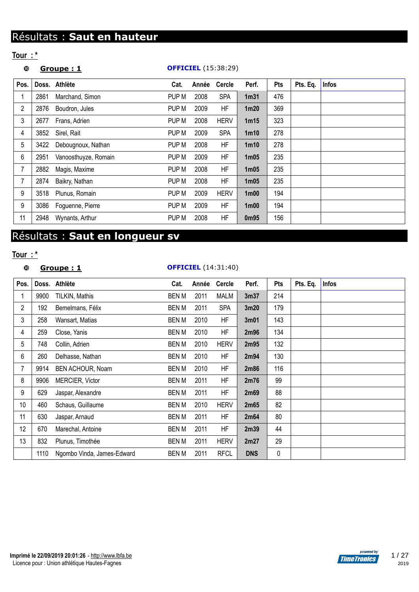## **Groupe : 1 OFFICIEL** (15:38:29)

| Pos.           |      | Doss. Athlète        | Cat.  | Année | Cercle      | Perf.             | Pts | Pts. Eq. | <b>Infos</b> |
|----------------|------|----------------------|-------|-------|-------------|-------------------|-----|----------|--------------|
| 1              | 2861 | Marchand, Simon      | PUP M | 2008  | <b>SPA</b>  | 1 <sub>m31</sub>  | 476 |          |              |
| $\overline{2}$ | 2876 | Boudron, Jules       | PUP M | 2009  | <b>HF</b>   | 1 <sub>m20</sub>  | 369 |          |              |
| 3              | 2677 | Frans, Adrien        | PUP M | 2008  | <b>HERV</b> | 1 <sub>m</sub> 15 | 323 |          |              |
| 4              | 3852 | Sirel, Rait          | PUP M | 2009  | <b>SPA</b>  | 1 <sub>m</sub> 10 | 278 |          |              |
| 5              | 3422 | Debougnoux, Nathan   | PUP M | 2008  | HF          | 1 <sub>m10</sub>  | 278 |          |              |
| 6              | 2951 | Vanoosthuyze, Romain | PUP M | 2009  | HF          | 1 <sub>m05</sub>  | 235 |          |              |
| 7              | 2882 | Magis, Maxime        | PUP M | 2008  | HF          | 1 <sub>m05</sub>  | 235 |          |              |
| 7              | 2874 | Baikry, Nathan       | PUP M | 2008  | HF          | 1 <sub>m05</sub>  | 235 |          |              |
| 9              | 3518 | Plunus, Romain       | PUP M | 2009  | <b>HERV</b> | 1 <sub>m</sub> 00 | 194 |          |              |
| 9              | 3086 | Foguenne, Pierre     | PUP M | 2009  | HF          | 1 <sub>m</sub> 00 | 194 |          |              |
| 11             | 2948 | Wynants, Arthur      | PUP M | 2008  | HF          | 0 <sub>m</sub> 95 | 156 |          |              |

## Résultats : **Saut en longueur sv**

## **Tour : \***

## **Groupe : 1 OFFICIEL** (14:31:40)

| Pos. |      | Doss. Athlète              | Cat.         | Année | Cercle      | Perf.            | Pts         | Pts. Eq. | <b>Infos</b> |
|------|------|----------------------------|--------------|-------|-------------|------------------|-------------|----------|--------------|
|      |      |                            |              |       |             |                  |             |          |              |
|      | 9900 | TILKIN, Mathis             | BEN M        | 2011  | <b>MALM</b> | 3 <sub>m37</sub> | 214         |          |              |
| 2    | 192  | Bemelmans, Félix           | <b>BEN M</b> | 2011  | <b>SPA</b>  | 3m20             | 179         |          |              |
| 3    | 258  | Wansart, Matias            | <b>BEN M</b> | 2010  | HF          | 3m01             | 143         |          |              |
| 4    | 259  | Close, Yanis               | <b>BEN M</b> | 2010  | HF          | 2m96             | 134         |          |              |
| 5    | 748  | Collin, Adrien             | <b>BEN M</b> | 2010  | <b>HERV</b> | 2m95             | 132         |          |              |
| 6    | 260  | Delhasse, Nathan           | <b>BEN M</b> | 2010  | HF          | 2m94             | 130         |          |              |
| 7    | 9914 | BEN ACHOUR, Noam           | <b>BEN M</b> | 2010  | HF          | 2m86             | 116         |          |              |
| 8    | 9906 | MERCIER, Victor            | <b>BEN M</b> | 2011  | HF          | 2m76             | 99          |          |              |
| 9    | 629  | Jaspar, Alexandre          | BEN M        | 2011  | HF          | 2m69             | 88          |          |              |
| 10   | 460  | Schaus, Guillaume          | <b>BEN M</b> | 2010  | <b>HERV</b> | 2m65             | 82          |          |              |
| 11   | 630  | Jaspar, Arnaud             | <b>BEN M</b> | 2011  | ΗF          | 2m64             | 80          |          |              |
| 12   | 670  | Marechal, Antoine          | <b>BEN M</b> | 2011  | HF          | 2m39             | 44          |          |              |
| 13   | 832  | Plunus, Timothée           | BEN M        | 2011  | <b>HERV</b> | 2m27             | 29          |          |              |
|      | 1110 | Ngombo Vinda, James-Edward | <b>BEN M</b> | 2011  | <b>RFCL</b> | <b>DNS</b>       | $\mathbf 0$ |          |              |

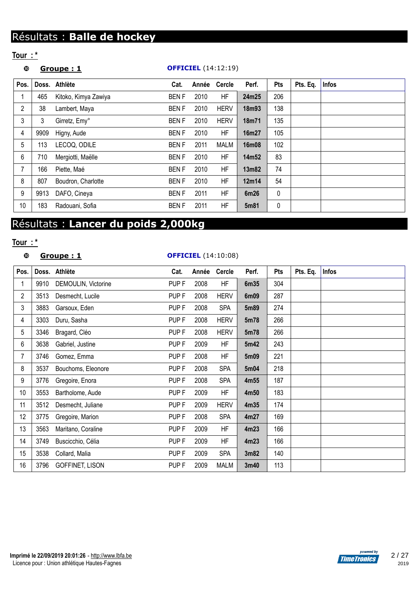## **Groupe : 1 OFFICIEL** (14:12:19)

| Pos.           |      | Doss. Athlète        | Cat.        | Année | <b>Cercle</b> | Perf. | Pts | Pts. Eq. | <b>Infos</b> |
|----------------|------|----------------------|-------------|-------|---------------|-------|-----|----------|--------------|
|                | 465  | Kitoko, Kimya Zawiya | <b>BENF</b> | 2010  | HF            | 24m25 | 206 |          |              |
| $\overline{2}$ | 38   | Lambert, Maya        | <b>BENF</b> | 2010  | <b>HERV</b>   | 18m93 | 138 |          |              |
| 3              | 3    | Girretz, Emy°        | <b>BENF</b> | 2010  | <b>HERV</b>   | 18m71 | 135 |          |              |
| 4              | 9909 | Higny, Aude          | <b>BENF</b> | 2010  | HF            | 16m27 | 105 |          |              |
| 5              | 113  | LECOQ, ODILE         | <b>BENF</b> | 2011  | <b>MALM</b>   | 16m08 | 102 |          |              |
| 6              | 710  | Mergiotti, Maëlle    | <b>BENF</b> | 2010  | HF            | 14m52 | 83  |          |              |
| 7              | 166  | Piette, Maé          | <b>BENF</b> | 2010  | HF            | 13m82 | 74  |          |              |
| 8              | 807  | Boudron, Charlotte   | <b>BENF</b> | 2010  | HF            | 12m14 | 54  |          |              |
| 9              | 9913 | DAFO, Cineya         | <b>BENF</b> | 2011  | HF            | 6m26  | 0   |          |              |
| 10             | 183  | Radouani, Sofia      | <b>BENF</b> | 2011  | HF            | 5m81  | 0   |          |              |

# Résultats : **Lancer du poids 2,000kg**

## **Tour : \***

## **Groupe : 1 OFFICIEL** (14:10:08)

| Pos. |      | Doss. Athlète       | Cat.             | Année | <b>Cercle</b> | Perf. | <b>Pts</b> | Pts. Eq. | <b>Infos</b> |
|------|------|---------------------|------------------|-------|---------------|-------|------------|----------|--------------|
|      | 9910 | DEMOULIN, Victorine | PUP <sub>F</sub> | 2008  | HF            | 6m35  | 304        |          |              |
| 2    | 3513 | Desmecht, Lucile    | PUP <sub>F</sub> | 2008  | <b>HERV</b>   | 6m09  | 287        |          |              |
| 3    | 3883 | Garsoux, Eden       | PUP <sub>F</sub> | 2008  | <b>SPA</b>    | 5m89  | 274        |          |              |
| 4    | 3303 | Duru, Sasha         | PUP <sub>F</sub> | 2008  | <b>HERV</b>   | 5m78  | 266        |          |              |
| 5    | 3346 | Bragard, Cléo       | PUP <sub>F</sub> | 2008  | <b>HERV</b>   | 5m78  | 266        |          |              |
| 6    | 3638 | Gabriel, Justine    | PUP <sub>F</sub> | 2009  | HF            | 5m42  | 243        |          |              |
| 7    | 3746 | Gomez, Emma         | PUP <sub>F</sub> | 2008  | <b>HF</b>     | 5m09  | 221        |          |              |
| 8    | 3537 | Bouchoms, Eleonore  | PUP <sub>F</sub> | 2008  | <b>SPA</b>    | 5m04  | 218        |          |              |
| 9    | 3776 | Gregoire, Enora     | PUP <sub>F</sub> | 2008  | <b>SPA</b>    | 4m55  | 187        |          |              |
| 10   | 3553 | Bartholome, Aude    | PUP <sub>F</sub> | 2009  | HF            | 4m50  | 183        |          |              |
| 11   | 3512 | Desmecht, Juliane   | PUP <sub>F</sub> | 2009  | <b>HERV</b>   | 4m35  | 174        |          |              |
| 12   | 3775 | Gregoire, Marion    | PUP <sub>F</sub> | 2008  | <b>SPA</b>    | 4m27  | 169        |          |              |
| 13   | 3563 | Maritano, Coraline  | PUP <sub>F</sub> | 2009  | HF            | 4m23  | 166        |          |              |
| 14   | 3749 | Buscicchio, Célia   | PUP <sub>F</sub> | 2009  | HF            | 4m23  | 166        |          |              |
| 15   | 3538 | Collard, Malia      | PUP <sub>F</sub> | 2009  | <b>SPA</b>    | 3m82  | 140        |          |              |
| 16   | 3796 | GOFFINET, LISON     | PUP <sub>F</sub> | 2009  | <b>MALM</b>   | 3m40  | 113        |          |              |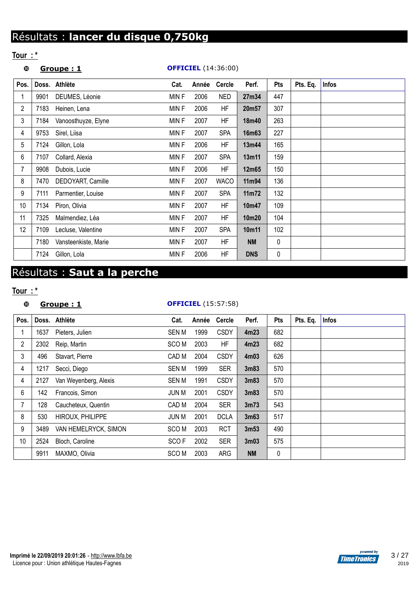# Résultats : **lancer du disque 0,750kg**

### **Tour : \***

## **Groupe : 1 OFFICIEL** (14:36:00) **Pos. Doss. Athlète Cat. Année Cercle Perf. Pts Pts. Eq. Infos** 9901 DEUMES, Léonie MIN F 2006 NED **27m34** 447 7183 Heinen, Lena MIN F 2006 HF **20m57** 307 7184 Vanoosthuyze, Elyne MIN F 2007 HF **18m40** 263 9753 Sirel, Liisa MIN F 2007 SPA **16m63** 227 7124 Gillon, Lola MIN F 2006 HF **13m44** 165 7107 Collard, Alexia MIN F 2007 SPA **13m11** 159 9908 Dubois, Lucie MIN F 2006 HF **12m65** 150 7470 DEDOYART, Camille MIN F 2007 WACO **11m94** 136 7111 Parmentier, Louise MIN F 2007 SPA **11m72** 132 7134 Piron, Olivia MIN F 2007 HF **10m47** 109 7325 Malmendiez, Léa MIN F 2007 HF **10m20** 104 7109 Lecluse, Valentine MIN F 2007 SPA **10m11** 102 7180 Vansteenkiste, Marie **MIN F 2007** HF | **NM** | 0 Gillon, Lola MIN F 2006 HF **DNS** 0

## Résultats : **Saut a la perche**

## **Tour : \***

## **Groupe : 1 OFFICIEL** (15:57:58)

| Pos.           |      | Doss. Athlète         | Cat.             | Année | Cercle      | Perf.            | <b>Pts</b> | Pts. Eq. | <b>Infos</b> |
|----------------|------|-----------------------|------------------|-------|-------------|------------------|------------|----------|--------------|
|                | 1637 | Pieters, Julien       | <b>SEN M</b>     | 1999  | <b>CSDY</b> | 4m23             | 682        |          |              |
| 2              | 2302 | Reip, Martin          | SCO <sub>M</sub> | 2003  | <b>HF</b>   | 4m23             | 682        |          |              |
| 3              | 496  | Stavart, Pierre       | CAD M            | 2004  | <b>CSDY</b> | 4m03             | 626        |          |              |
| 4              | 1217 | Secci, Diego          | <b>SEN M</b>     | 1999  | <b>SER</b>  | 3 <sub>m83</sub> | 570        |          |              |
| 4              | 2127 | Van Weyenberg, Alexis | <b>SEN M</b>     | 1991  | <b>CSDY</b> | 3m83             | 570        |          |              |
| 6              | 142  | Francois, Simon       | JUN M            | 2001  | <b>CSDY</b> | 3 <sub>m83</sub> | 570        |          |              |
| $\overline{7}$ | 128  | Caucheteux, Quentin   | CAD M            | 2004  | <b>SER</b>  | 3m73             | 543        |          |              |
| 8              | 530  | HIROUX, PHILIPPE      | JUN M            | 2001  | <b>DCLA</b> | 3m63             | 517        |          |              |
| 9              | 3489 | VAN HEMELRYCK, SIMON  | SCO M            | 2003  | <b>RCT</b>  | 3m <sub>53</sub> | 490        |          |              |
| 10             | 2524 | Bloch, Caroline       | SCO <sub>F</sub> | 2002  | <b>SER</b>  | 3m <sub>03</sub> | 575        |          |              |
|                | 9911 | MAXMO, Olivia         | SCO <sub>M</sub> | 2003  | <b>ARG</b>  | <b>NM</b>        | 0          |          |              |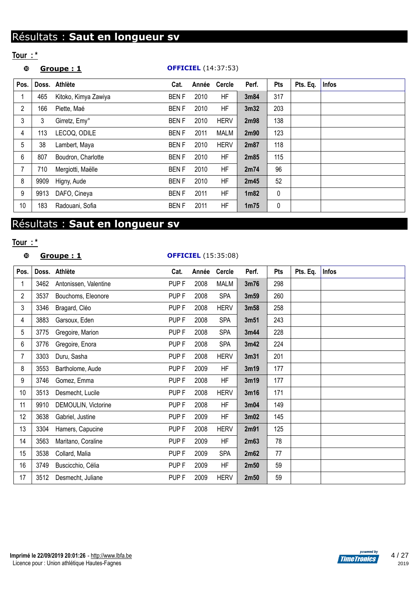# Résultats : **Saut en longueur sv**

## **Tour : \***

## **Groupe : 1 OFFICIEL** (14:37:53)

| Pos.           |      | Doss. Athlète        | Cat.        | Année | <b>Cercle</b> | Perf.            | Pts | Pts. Eq. | <b>Infos</b> |
|----------------|------|----------------------|-------------|-------|---------------|------------------|-----|----------|--------------|
|                | 465  | Kitoko, Kimya Zawiya | <b>BENF</b> | 2010  | HF            | 3m84             | 317 |          |              |
| $\overline{2}$ | 166  | Piette, Maé          | <b>BENF</b> | 2010  | HF            | 3 <sub>m32</sub> | 203 |          |              |
| 3              | 3    | Girretz, Emy°        | <b>BENF</b> | 2010  | <b>HERV</b>   | 2m98             | 138 |          |              |
| 4              | 113  | LECOQ, ODILE         | <b>BENF</b> | 2011  | <b>MALM</b>   | 2m90             | 123 |          |              |
| 5              | 38   | Lambert, Maya        | <b>BENF</b> | 2010  | <b>HERV</b>   | 2m87             | 118 |          |              |
| 6              | 807  | Boudron, Charlotte   | <b>BENF</b> | 2010  | HF            | 2m85             | 115 |          |              |
| 7              | 710  | Mergiotti, Maëlle    | <b>BENF</b> | 2010  | HF            | 2m74             | 96  |          |              |
| 8              | 9909 | Higny, Aude          | <b>BENF</b> | 2010  | HF            | 2m45             | 52  |          |              |
| 9              | 9913 | DAFO, Cineya         | <b>BENF</b> | 2011  | HF            | 1 <sub>m82</sub> | 0   |          |              |
| 10             | 183  | Radouani, Sofia      | <b>BENF</b> | 2011  | HF            | 1m75             | 0   |          |              |

# Résultats : **Saut en longueur sv**

## **Tour : \***

## **Groupe : 1 OFFICIEL** (15:35:08)

| Pos.           |      | Doss. Athlète         | Cat.             | Année | Cercle      | Perf.            | <b>Pts</b> | Pts. Eq. | <b>Infos</b> |
|----------------|------|-----------------------|------------------|-------|-------------|------------------|------------|----------|--------------|
|                | 3462 | Antonissen, Valentine | PUP <sub>F</sub> | 2008  | <b>MALM</b> | 3m76             | 298        |          |              |
| $\overline{c}$ | 3537 | Bouchoms, Eleonore    | PUP <sub>F</sub> | 2008  | <b>SPA</b>  | 3m59             | 260        |          |              |
| 3              | 3346 | Bragard, Cléo         | PUP <sub>F</sub> | 2008  | <b>HERV</b> | 3m58             | 258        |          |              |
| 4              | 3883 | Garsoux, Eden         | PUP <sub>F</sub> | 2008  | <b>SPA</b>  | 3m51             | 243        |          |              |
| 5              | 3775 | Gregoire, Marion      | PUP <sub>F</sub> | 2008  | <b>SPA</b>  | 3m44             | 228        |          |              |
| 6              | 3776 | Gregoire, Enora       | PUP <sub>F</sub> | 2008  | <b>SPA</b>  | 3m42             | 224        |          |              |
| 7              | 3303 | Duru, Sasha           | PUP <sub>F</sub> | 2008  | <b>HERV</b> | 3m31             | 201        |          |              |
| 8              | 3553 | Bartholome, Aude      | PUP <sub>F</sub> | 2009  | <b>HF</b>   | 3m19             | 177        |          |              |
| 9              | 3746 | Gomez, Emma           | PUP <sub>F</sub> | 2008  | HF          | 3m19             | 177        |          |              |
| 10             | 3513 | Desmecht, Lucile      | PUP <sub>F</sub> | 2008  | <b>HERV</b> | 3m16             | 171        |          |              |
| 11             | 9910 | DEMOULIN, Victorine   | PUP <sub>F</sub> | 2008  | HF          | 3m04             | 149        |          |              |
| 12             | 3638 | Gabriel, Justine      | PUP <sub>F</sub> | 2009  | HF          | 3m <sub>02</sub> | 145        |          |              |
| 13             | 3304 | Hamers, Capucine      | PUP <sub>F</sub> | 2008  | <b>HERV</b> | 2m91             | 125        |          |              |
| 14             | 3563 | Maritano, Coraline    | PUP <sub>F</sub> | 2009  | HF          | 2m63             | 78         |          |              |
| 15             | 3538 | Collard, Malia        | PUP <sub>F</sub> | 2009  | <b>SPA</b>  | 2m62             | 77         |          |              |
| 16             | 3749 | Buscicchio, Célia     | PUP <sub>F</sub> | 2009  | HF          | 2m50             | 59         |          |              |
| 17             | 3512 | Desmecht, Juliane     | PUP <sub>F</sub> | 2009  | <b>HERV</b> | 2m50             | 59         |          |              |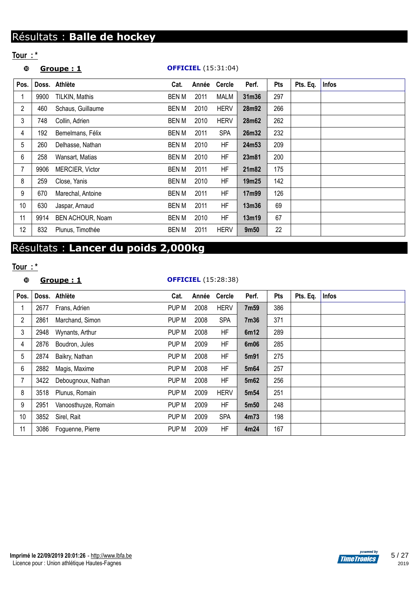## **Groupe : 1 OFFICIEL** (15:31:04) **Pos. Doss. Athlète Cat. Année Cercle Perf. Pts Pts. Eq. Infos** 9900 TILKIN, Mathis BEN M 2011 MALM **31m36** 297 460 Schaus, Guillaume BEN M 2010 HERV **28m92** 266 748 Collin, Adrien BEN M 2010 HERV **28m62** 262 192 Bemelmans, Félix BEN M 2011 SPA **26m32** 232 260 Delhasse, Nathan BEN M 2010 HF **24m53** 209 258 Wansart, Matias BEN M 2010 HF **23m81** 200 9906 MERCIER, Victor BEN M 2011 HF **21m82** 175 259 Close, Yanis BEN M 2010 HF **19m25** 142 670 Marechal, Antoine BEN M 2011 HF **17m99** 126 630 Jaspar, Arnaud BEN M 2011 HF **13m36** 69 9914 BEN ACHOUR, Noam BEN M 2010 HF **13m19** 67 832 Plunus, Timothée BEN M 2011 HERV **9m50** 22

# Résultats : **Lancer du poids 2,000kg**

**Tour : \***

# **Groupe : 1 OFFICIEL** (15:28:38)

| Pos.           |      | Doss. Athlète        | Cat.  | Année | <b>Cercle</b> | Perf. | Pts | Pts. Eq. | <b>Infos</b> |
|----------------|------|----------------------|-------|-------|---------------|-------|-----|----------|--------------|
|                | 2677 | Frans, Adrien        | PUP M | 2008  | <b>HERV</b>   | 7m59  | 386 |          |              |
| $\overline{2}$ | 2861 | Marchand, Simon      | PUP M | 2008  | <b>SPA</b>    | 7m36  | 371 |          |              |
| 3              | 2948 | Wynants, Arthur      | PUP M | 2008  | <b>HF</b>     | 6m12  | 289 |          |              |
| 4              | 2876 | Boudron, Jules       | PUP M | 2009  | <b>HF</b>     | 6m06  | 285 |          |              |
| 5              | 2874 | Baikry, Nathan       | PUP M | 2008  | <b>HF</b>     | 5m91  | 275 |          |              |
| 6              | 2882 | Magis, Maxime        | PUP M | 2008  | HF            | 5m64  | 257 |          |              |
| 7              | 3422 | Debougnoux, Nathan   | PUP M | 2008  | HF            | 5m62  | 256 |          |              |
| 8              | 3518 | Plunus, Romain       | PUP M | 2009  | <b>HERV</b>   | 5m54  | 251 |          |              |
| 9              | 2951 | Vanoosthuyze, Romain | PUP M | 2009  | <b>HF</b>     | 5m50  | 248 |          |              |
| 10             | 3852 | Sirel, Rait          | PUP M | 2009  | <b>SPA</b>    | 4m73  | 198 |          |              |
| 11             | 3086 | Foguenne, Pierre     | PUP M | 2009  | ΗF            | 4m24  | 167 |          |              |

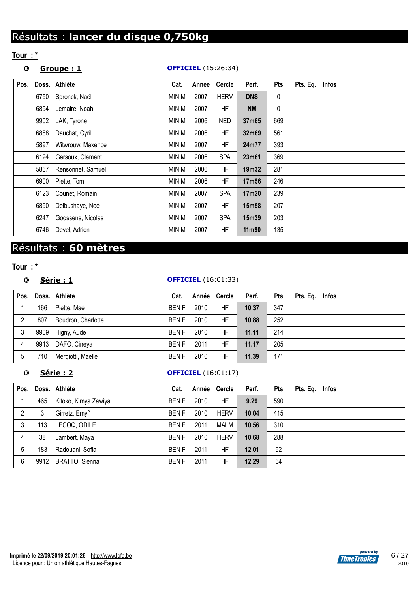# Résultats : **lancer du disque 0,750kg**

## **Tour : \***

# **Groupe : 1 OFFICIEL** (15:26:34) **Pos. Doss. Athlète Cat. Année Cercle Perf. Pts Pts. Eq. Infos** Spronck, Naël MIN M 2007 HERV **DNS** 0 Lemaire, Noah MIN M 2007 HF **NM** 0

| 0094 | Lemaire, Noan     | IVIIIN IVI | ZUU I | пг         | <b>INIVI</b>      | υ   |  |  |
|------|-------------------|------------|-------|------------|-------------------|-----|--|--|
| 9902 | LAK, Tyrone       | MIN M      | 2006  | <b>NED</b> | 37m65             | 669 |  |  |
| 6888 | Dauchat, Cyril    | MIN M      | 2006  | HF         | 32m69             | 561 |  |  |
| 5897 | Witwrouw, Maxence | MIN M      | 2007  | HF         | 24m77             | 393 |  |  |
| 6124 | Garsoux, Clement  | MIN M      | 2006  | <b>SPA</b> | 23m61             | 369 |  |  |
| 5867 | Rensonnet, Samuel | min M      | 2006  | HF         | 19m32             | 281 |  |  |
| 6900 | Piette, Tom       | MIN M      | 2006  | HF         | 17m56             | 246 |  |  |
| 6123 | Counet, Romain    | MIN M      | 2007  | <b>SPA</b> | 17m20             | 239 |  |  |
| 6890 | Delbushaye, Noé   | MIN M      | 2007  | HF         | 15m58             | 207 |  |  |
| 6247 | Goossens, Nicolas | min M      | 2007  | <b>SPA</b> | 15m39             | 203 |  |  |
| 6746 | Devel, Adrien     | MIN M      | 2007  | HF         | 11 <sub>m90</sub> | 135 |  |  |

# Résultats : **60 mètres**

## **Tour : \***

## **Série : 1 OFFICIEL** (16:01:33)

| Pos. |      | Doss. Athlète      | Cat.        | Année Cercle |           | Perf. | <b>Pts</b> | Pts. Eq. | <b>Infos</b> |
|------|------|--------------------|-------------|--------------|-----------|-------|------------|----------|--------------|
|      | 166  | Piette, Maé        | BEN F       | 2010         | HF        | 10.37 | 347        |          |              |
| റ    | 807  | Boudron, Charlotte | <b>BENF</b> | 2010         | HF        | 10.88 | 252        |          |              |
| 3    | 9909 | Higny, Aude        | <b>BENF</b> | 2010         | HF        | 11.11 | 214        |          |              |
|      | 9913 | DAFO, Cineya       | <b>BENF</b> | 2011         | <b>HF</b> | 11.17 | 205        |          |              |
| ა    | 710  | Mergiotti, Maëlle  | <b>BENF</b> | 2010         | ΗF        | 11.39 | 171        |          |              |

## **Série : 2 OFFICIEL** (16:01:17)

| Pos.           |      | Doss. Athlète        | Cat.        | Année | Cercle      | Perf. | Pts | Pts. Eq. | Infos |
|----------------|------|----------------------|-------------|-------|-------------|-------|-----|----------|-------|
|                | 465  | Kitoko, Kimya Zawiya | <b>BENF</b> | 2010  | ΗF          | 9.29  | 590 |          |       |
| $\overline{2}$ |      | Girretz, Emy°        | BEN F       | 2010  | <b>HERV</b> | 10.04 | 415 |          |       |
| 3              | 113  | LECOQ, ODILE         | <b>BENF</b> | 2011  | MALM        | 10.56 | 310 |          |       |
| 4              | 38   | Lambert, Maya        | <b>BENF</b> | 2010  | <b>HERV</b> | 10.68 | 288 |          |       |
| 5              | 183  | Radouani, Sofia      | <b>BENF</b> | 2011  | ΗF          | 12.01 | 92  |          |       |
| 6              | 9912 | BRATTO, Sienna       | <b>BENF</b> | 2011  | ΗF          | 12.29 | 64  |          |       |

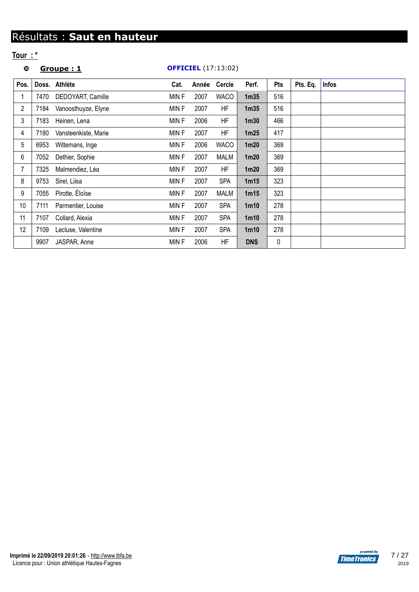## **Groupe : 1 OFFICIEL** (17:13:02)

| Pos.           |      | Doss. Athlète        | Cat.        | Année | <b>Cercle</b> | Perf.            | Pts       | Pts. Eq. | <b>Infos</b> |
|----------------|------|----------------------|-------------|-------|---------------|------------------|-----------|----------|--------------|
|                | 7470 | DEDOYART, Camille    | MIN F       | 2007  | <b>WACO</b>   | 1 <sub>m35</sub> | 516       |          |              |
| $\overline{2}$ | 7184 | Vanoosthuyze, Elyne  | MIN F       | 2007  | <b>HF</b>     | 1 <sub>m35</sub> | 516       |          |              |
| 3              | 7183 | Heinen, Lena         | MIN F       | 2006  | HF            | 1 <sub>m30</sub> | 466       |          |              |
| 4              | 7180 | Vansteenkiste, Marie | MIN F       | 2007  | <b>HF</b>     | 1m25             | 417       |          |              |
| 5              | 6953 | Wittemans, Inge      | MIN F       | 2006  | <b>WACO</b>   | 1 <sub>m20</sub> | 369       |          |              |
| 6              | 7052 | Dethier, Sophie      | MIN F       | 2007  | <b>MALM</b>   | 1 <sub>m20</sub> | 369       |          |              |
| 7              | 7325 | Malmendiez, Léa      | MIN F       | 2007  | <b>HF</b>     | 1 <sub>m20</sub> | 369       |          |              |
| 8              | 9753 | Sirel, Liisa         | MIN F       | 2007  | <b>SPA</b>    | 1m15             | 323       |          |              |
| 9              | 7055 | Pirotte, Éloïse      | MIN F       | 2007  | <b>MALM</b>   | 1m15             | 323       |          |              |
| 10             | 7111 | Parmentier, Louise   | MIN F       | 2007  | <b>SPA</b>    | 1 <sub>m10</sub> | 278       |          |              |
| 11             | 7107 | Collard, Alexia      | MIN F       | 2007  | <b>SPA</b>    | 1 <sub>m10</sub> | 278       |          |              |
| 12             | 7109 | Lecluse, Valentine   | MIN F       | 2007  | <b>SPA</b>    | 1 <sub>m10</sub> | 278       |          |              |
|                | 9907 | JASPAR, Anne         | <b>MINF</b> | 2006  | HF            | <b>DNS</b>       | $\pmb{0}$ |          |              |

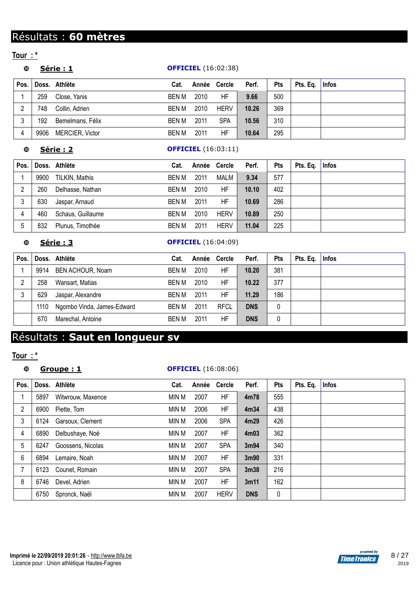# Résultats : **60 mètres**

**Tour : \***

## **Série : 1 OFFICIEL** (16:02:38)

| Pos. |      | Doss. Athlète    | Cat.  |      | Année Cercle | Perf. | <b>Pts</b> | Pts. Eq. | $ $ Infos |
|------|------|------------------|-------|------|--------------|-------|------------|----------|-----------|
|      | 259  | Close, Yanis     | BEN M | 2010 | HF           | 9.66  | 500        |          |           |
|      | 748  | Collin, Adrien   | BEN M | 2010 | <b>HERV</b>  | 10.26 | 369        |          |           |
| ົ    | 192  | Bemelmans, Félix | BEN M | 2011 | <b>SPA</b>   | 10.56 | 310        |          |           |
|      | 9906 | MERCIER, Victor  | BEN M | 2011 | HF           | 10.64 | 295        |          |           |

### **Série : 2 OFFICIEL** (16:03:11)

| Pos. |      | Doss. Athlète     | Cat.         | Année | Cercle      | Perf. | Pts | Pts. Eq. | <b>Infos</b> |
|------|------|-------------------|--------------|-------|-------------|-------|-----|----------|--------------|
|      | 9900 | TILKIN, Mathis    | <b>BEN M</b> | 2011  | MALM        | 9.34  | 577 |          |              |
|      | 260  | Delhasse, Nathan  | BEN M        | 2010  | ΗF          | 10.10 | 402 |          |              |
|      | 630  | Jaspar, Arnaud    | <b>BEN M</b> | 2011  | HF          | 10.69 | 286 |          |              |
| 4    | 460  | Schaus, Guillaume | <b>BEN M</b> | 2010  | <b>HERV</b> | 10.89 | 250 |          |              |
| 5    | 832  | Plunus, Timothée  | BEN M        | 2011  | <b>HERV</b> | 11.04 | 225 |          |              |

### **Série : 3 OFFICIEL** (16:04:09)

| Pos. |      | Doss. Athlète              | Cat.  |      | Année Cercle | Perf.      | <b>Pts</b> | Pts. Eq. | <b>Infos</b> |
|------|------|----------------------------|-------|------|--------------|------------|------------|----------|--------------|
|      | 9914 | BEN ACHOUR, Noam           | BEN M | 2010 | HF           | 10.20      | 381        |          |              |
|      | 258  | Wansart, Matias            | BEN M | 2010 | HF.          | 10.22      | 377        |          |              |
|      | 629  | Jaspar, Alexandre          | BEN M | 2011 | HF           | 11.29      | 186        |          |              |
|      | 1110 | Ngombo Vinda, James-Edward | BEN M | 2011 | <b>RFCL</b>  | <b>DNS</b> | 0          |          |              |
|      | 670  | Marechal, Antoine          | BEN M | 2011 | ΗF           | <b>DNS</b> | 0          |          |              |

# Résultats : **Saut en longueur sv**

**Tour : \***

## **Groupe : 1 OFFICIEL** (16:08:06)

| Pos. |      | Doss. Athlète     | Cat.  | Année | Cercle      | Perf.             | Pts | Pts. Eq. | Infos |
|------|------|-------------------|-------|-------|-------------|-------------------|-----|----------|-------|
|      | 5897 | Witwrouw, Maxence | MIN M | 2007  | HF          | 4m78              | 555 |          |       |
| 2    | 6900 | Piette. Tom       | MIN M | 2006  | HF          | 4m34              | 438 |          |       |
| 3    | 6124 | Garsoux, Clement  | MIN M | 2006  | <b>SPA</b>  | 4m29              | 426 |          |       |
| 4    | 6890 | Delbushaye, Noé   | MIN M | 2007  | HF          | 4m03              | 362 |          |       |
| 5    | 6247 | Goossens, Nicolas | MIN M | 2007  | <b>SPA</b>  | 3 <sub>m</sub> 94 | 340 |          |       |
| 6    | 6894 | Lemaire, Noah     | MIN M | 2007  | HF          | 3m90              | 331 |          |       |
|      | 6123 | Counet, Romain    | MIN M | 2007  | <b>SPA</b>  | 3 <sub>m38</sub>  | 216 |          |       |
| 8    | 6746 | Devel, Adrien     | MIN M | 2007  | HF          | 3m11              | 162 |          |       |
|      | 6750 | Spronck, Naël     | MIN M | 2007  | <b>HERV</b> | <b>DNS</b>        | 0   |          |       |

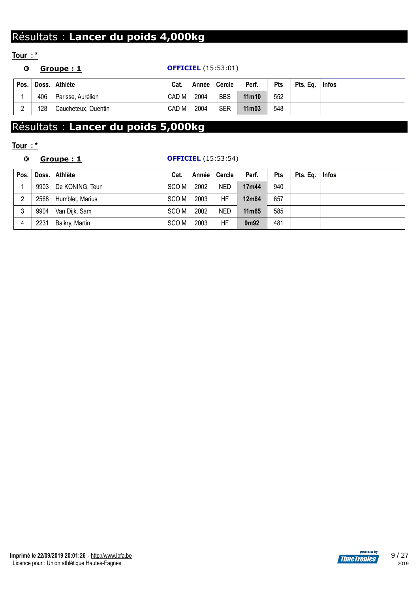# Résultats : **Lancer du poids 4,000kg**

## **Tour : \***

| ◍    |     | Groupe: 1           |       |      | <b>OFFICIEL</b> (15:53:01) |                    |     |          |              |
|------|-----|---------------------|-------|------|----------------------------|--------------------|-----|----------|--------------|
| Pos. |     | Doss. Athlète       | Cat.  |      | Année Cercle               | Perf.              | Pts | Pts. Eq. | <b>Infos</b> |
|      | 406 | Parisse, Aurélien   | CAD M | 2004 | <b>BBS</b>                 | 11m10              | 552 |          |              |
|      | 128 | Caucheteux, Quentin | CAD M | 2004 | <b>SER</b>                 | 11 <sub>m</sub> 03 | 548 |          |              |

## Résultats : **Lancer du poids 5,000kg**

## **Tour : \***

## **Groupe : 1 OFFICIEL** (15:53:54)

| Pos. |      | Doss. Athlète   | Cat.  |      | Année Cercle | Perf.            | <b>Pts</b> | Pts. Eq. | <b>Infos</b> |
|------|------|-----------------|-------|------|--------------|------------------|------------|----------|--------------|
|      | 9903 | De KONING, Teun | SCO M | 2002 | <b>NED</b>   | 17m44            | 940        |          |              |
| C    | 2568 | Humblet, Marius | SCO M | 2003 | HF           | 12m84            | 657        |          |              |
| c    | 9904 | Van Dijk, Sam   | SCO M | 2002 | <b>NED</b>   | 11m65            | 585        |          |              |
| 4    | 2231 | Baikry, Martin  | SCO M | 2003 | HF           | 9m <sub>92</sub> | 481        |          |              |

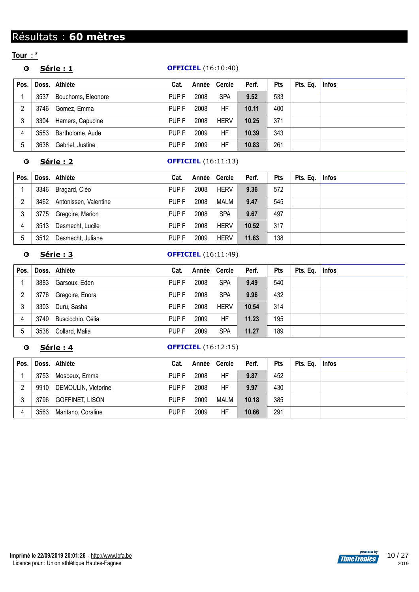# Résultats : **60 mètres**

**Tour : \***

## **Série : 1 OFFICIEL** (16:10:40)

| Pos. |      | Doss. Athlète      | Cat.             | Année | Cercle      | Perf. | <b>Pts</b> | Pts. Eq. | <b>Infos</b> |
|------|------|--------------------|------------------|-------|-------------|-------|------------|----------|--------------|
|      | 3537 | Bouchoms, Eleonore | PUP <sub>F</sub> | 2008  | <b>SPA</b>  | 9.52  | 533        |          |              |
| ∩    | 3746 | Gomez, Emma        | PUP <sub>F</sub> | 2008  | HF          | 10.11 | 400        |          |              |
| 3    | 3304 | Hamers, Capucine   | PUP <sub>F</sub> | 2008  | <b>HERV</b> | 10.25 | 371        |          |              |
| 4    | 3553 | Bartholome, Aude   | PUP F            | 2009  | ΗF          | 10.39 | 343        |          |              |
| 5    | 3638 | Gabriel, Justine   | <b>PUPF</b>      | 2009  | HF          | 10.83 | 261        |          |              |

## **Série : 2 OFFICIEL** (16:11:13)

| Pos. |      | Doss. Athlète         | Cat.  |      | Année Cercle | Perf. | <b>Pts</b> | Pts. Eq.   Infos |  |
|------|------|-----------------------|-------|------|--------------|-------|------------|------------------|--|
|      | 3346 | Bragard, Cléo         | PUP F | 2008 | <b>HERV</b>  | 9.36  | 572        |                  |  |
|      | 3462 | Antonissen, Valentine | PUP F | 2008 | MALM         | 9.47  | 545        |                  |  |
| 3    |      | 3775 Gregoire, Marion | PUP F | 2008 | <b>SPA</b>   | 9.67  | 497        |                  |  |
|      | 3513 | Desmecht, Lucile      | PUP F | 2008 | <b>HERV</b>  | 10.52 | 317        |                  |  |
| 5    | 3512 | Desmecht, Juliane     | PUP F | 2009 | <b>HERV</b>  | 11.63 | 138        |                  |  |

## **Série : 3 OFFICIEL** (16:11:49)

| Pos. |      | Doss. Athlète     | Cat.             | Année | Cercle      | Perf. | Pts | Pts. Eq. | Infos |
|------|------|-------------------|------------------|-------|-------------|-------|-----|----------|-------|
|      | 3883 | Garsoux, Eden     | PUP <sub>F</sub> | 2008  | <b>SPA</b>  | 9.49  | 540 |          |       |
| 2    | 3776 | Gregoire, Enora   | PUP <sub>F</sub> | 2008  | <b>SPA</b>  | 9.96  | 432 |          |       |
| 3    | 3303 | Duru, Sasha       | PUP <sub>F</sub> | 2008  | <b>HERV</b> | 10.54 | 314 |          |       |
| 4    | 3749 | Buscicchio, Célia | PUP <sub>F</sub> | 2009  | ΗF          | 11.23 | 195 |          |       |
| 5    | 3538 | Collard, Malia    | PUP <sub>F</sub> | 2009  | <b>SPA</b>  | 11.27 | 189 |          |       |

## **Série : 4 OFFICIEL** (16:12:15)

| Pos. |      | Doss. Athlète       | Cat.             |      | Année Cercle | Perf. | <b>Pts</b> | Pts. Eq. | <b>Infos</b> |
|------|------|---------------------|------------------|------|--------------|-------|------------|----------|--------------|
|      | 3753 | Mosbeux, Emma       | PUP F            | 2008 | HF           | 9.87  | 452        |          |              |
| 2    | 9910 | DEMOULIN, Victorine | PUP <sub>F</sub> | 2008 | HF           | 9.97  | 430        |          |              |
|      | 3796 | GOFFINET, LISON     | PUP F            | 2009 | MALM         | 10.18 | 385        |          |              |
|      | 3563 | Maritano, Coraline  | PUP F            | 2009 | HF           | 10.66 | 291        |          |              |

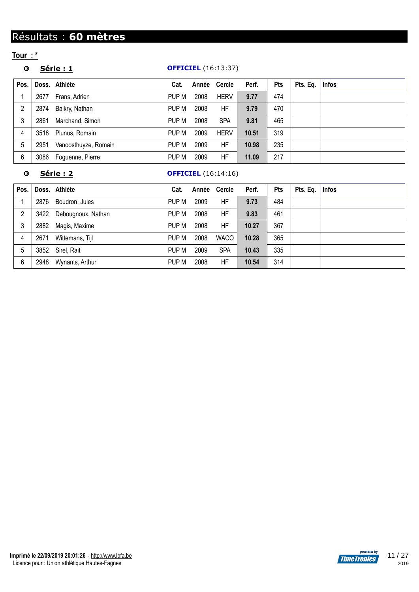# Résultats : **60 mètres**

**Tour : \***

## **Série : 1 OFFICIEL** (16:13:37)

| Pos. |      | Doss. Athlète        | Cat.  | Année | Cercle      | Perf. | <b>Pts</b> | Pts. Eq. | Infos |
|------|------|----------------------|-------|-------|-------------|-------|------------|----------|-------|
|      | 2677 | Frans, Adrien        | PUP M | 2008  | <b>HERV</b> | 9.77  | 474        |          |       |
| 2    | 2874 | Baikry, Nathan       | PUP M | 2008  | HF          | 9.79  | 470        |          |       |
| 3    | 2861 | Marchand, Simon      | PUP M | 2008  | <b>SPA</b>  | 9.81  | 465        |          |       |
| 4    | 3518 | Plunus, Romain       | PUP M | 2009  | <b>HERV</b> | 10.51 | 319        |          |       |
| 5    | 2951 | Vanoosthuyze, Romain | PUP M | 2009  | HF          | 10.98 | 235        |          |       |
| 6    | 3086 | Foguenne, Pierre     | PUP M | 2009  | HF          | 11.09 | 217        |          |       |

## **Série : 2 OFFICIEL** (16:14:16)

| Pos. |      | Doss. Athlète      | Cat.  | Année | Cercle      | Perf. | Pts | Pts. Eq. | <b>Infos</b> |
|------|------|--------------------|-------|-------|-------------|-------|-----|----------|--------------|
|      | 2876 | Boudron, Jules     | PUP M | 2009  | ΗF          | 9.73  | 484 |          |              |
|      | 3422 | Debougnoux, Nathan | PUP M | 2008  | ΗF          | 9.83  | 461 |          |              |
| 3    | 2882 | Magis, Maxime      | PUP M | 2008  | <b>HF</b>   | 10.27 | 367 |          |              |
| 4    | 2671 | Wittemans, Tijl    | PUP M | 2008  | <b>WACO</b> | 10.28 | 365 |          |              |
| 5    | 3852 | Sirel, Rait        | PUP M | 2009  | <b>SPA</b>  | 10.43 | 335 |          |              |
| 6    | 2948 | Wynants, Arthur    | PUP M | 2008  | HF          | 10.54 | 314 |          |              |

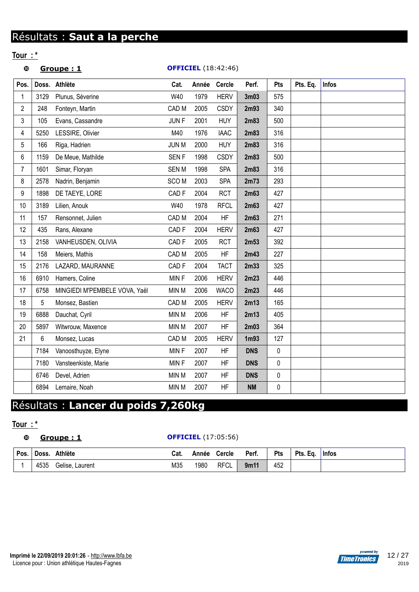## **Groupe : 1 OFFICIEL** (18:42:46)

| Pos.           |      | Doss. Athlète                 | Cat.             | Année | <b>Cercle</b> | Perf.                         | <b>Pts</b> | Pts. Eq. | <b>Infos</b> |
|----------------|------|-------------------------------|------------------|-------|---------------|-------------------------------|------------|----------|--------------|
| 1              | 3129 | Plunus, Séverine              | W40              | 1979  | <b>HERV</b>   | 3 <sub>m</sub> 0 <sub>3</sub> | 575        |          |              |
| $\overline{2}$ | 248  | Fonteyn, Martin               | CAD M            | 2005  | <b>CSDY</b>   | 2m93                          | 340        |          |              |
| 3              | 105  | Evans, Cassandre              | JUN F            | 2001  | <b>HUY</b>    | 2m83                          | 500        |          |              |
| 4              | 5250 | LESSIRE, Olivier              | M40              | 1976  | <b>IAAC</b>   | 2m83                          | 316        |          |              |
| 5              | 166  | Riga, Hadrien                 | <b>JUN M</b>     | 2000  | <b>HUY</b>    | 2m83                          | 316        |          |              |
| 6              | 1159 | De Meue, Mathilde             | <b>SENF</b>      | 1998  | <b>CSDY</b>   | 2m83                          | 500        |          |              |
| $\overline{7}$ | 1601 | Simar, Floryan                | <b>SENM</b>      | 1998  | <b>SPA</b>    | 2m83                          | 316        |          |              |
| 8              | 2578 | Nadrin, Benjamin              | SCO <sub>M</sub> | 2003  | <b>SPA</b>    | 2m73                          | 293        |          |              |
| 9              | 1898 | DE TAEYE, LORE                | CAD <sub>F</sub> | 2004  | <b>RCT</b>    | 2m63                          | 427        |          |              |
| 10             | 3189 | Lilien, Anouk                 | W40              | 1978  | <b>RFCL</b>   | 2m63                          | 427        |          |              |
| 11             | 157  | Rensonnet, Julien             | CAD <sub>M</sub> | 2004  | <b>HF</b>     | 2m63                          | 271        |          |              |
| 12             | 435  | Rans, Alexane                 | CAD <sub>F</sub> | 2004  | <b>HERV</b>   | 2m63                          | 427        |          |              |
| 13             | 2158 | VANHEUSDEN, OLIVIA            | CAD <sub>F</sub> | 2005  | <b>RCT</b>    | 2m53                          | 392        |          |              |
| 14             | 158  | Meiers, Mathis                | CAD M            | 2005  | <b>HF</b>     | 2m43                          | 227        |          |              |
| 15             | 2176 | LAZARD, MAURANNE              | CAD <sub>F</sub> | 2004  | <b>TACT</b>   | 2m33                          | 325        |          |              |
| 16             | 6910 | Hamers, Coline                | <b>MINF</b>      | 2006  | <b>HERV</b>   | 2m23                          | 446        |          |              |
| 17             | 6758 | MINGIEDI M'PEMBELE VOVA, Yaël | MIN M            | 2006  | <b>WACO</b>   | 2m23                          | 446        |          |              |
| 18             | 5    | Monsez, Bastien               | CAD M            | 2005  | <b>HERV</b>   | 2m13                          | 165        |          |              |
| 19             | 6888 | Dauchat, Cyril                | <b>MIN M</b>     | 2006  | HF            | 2m13                          | 405        |          |              |
| 20             | 5897 | Witwrouw, Maxence             | MIN M            | 2007  | <b>HF</b>     | 2m <sub>03</sub>              | 364        |          |              |
| 21             | 6    | Monsez, Lucas                 | CAD <sub>M</sub> | 2005  | <b>HERV</b>   | 1 <sub>m</sub> 93             | 127        |          |              |
|                | 7184 | Vanoosthuyze, Elyne           | MIN F            | 2007  | <b>HF</b>     | <b>DNS</b>                    | $\pmb{0}$  |          |              |
|                | 7180 | Vansteenkiste, Marie          | MINF             | 2007  | <b>HF</b>     | <b>DNS</b>                    | 0          |          |              |
|                | 6746 | Devel, Adrien                 | MIN M            | 2007  | <b>HF</b>     | <b>DNS</b>                    | $\pmb{0}$  |          |              |
|                | 6894 | Lemaire, Noah                 | MIN M            | 2007  | <b>HF</b>     | <b>NM</b>                     | $\pmb{0}$  |          |              |
|                |      |                               |                  |       |               |                               |            |          |              |

# Résultats : **Lancer du poids 7,260kg**

## **Tour : \***

## **Groupe : 1 OFFICIEL** (17:05:56)

| Pos. | Doss. | <b>Athlète</b>  | Cat. | Année | <b>Cercle</b> | Perf. | <b>Pts</b> | Pts. Eq. | $ $ Infos |
|------|-------|-----------------|------|-------|---------------|-------|------------|----------|-----------|
|      | 4535  | Gelise, Laurent | M35  | 1980  | <b>RFCL</b>   | 9m11  | 452        |          |           |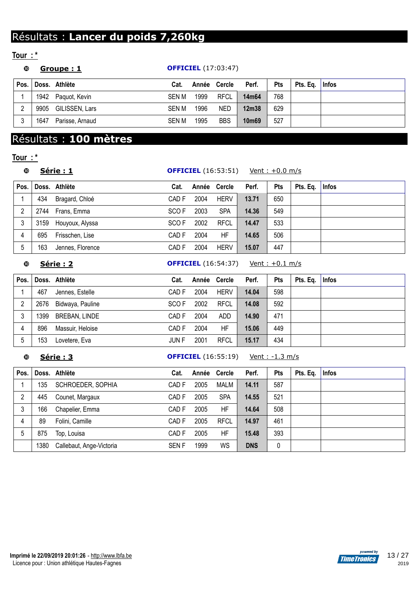# Résultats : **Lancer du poids 7,260kg**

## **Tour : \***

| ◍      |      | Groupe: 1              |              |      | <b>OFFICIEL</b> (17:03:47) |       |     |          |              |
|--------|------|------------------------|--------------|------|----------------------------|-------|-----|----------|--------------|
| Pos.   |      | Doss. Athlète          | Cat.         |      | Année Cercle               | Perf. | Pts | Pts. Eq. | <b>Infos</b> |
|        | 1942 | Paquot, Kevin          | <b>SEN M</b> | 1999 | <b>RFCL</b>                | 14m64 | 768 |          |              |
| 2      | 9905 | GILISSEN, Lars         | SEN M        | 1996 | <b>NED</b>                 | 12m38 | 629 |          |              |
| 3      | 1647 | Parisse, Arnaud        | <b>SEN M</b> | 1995 | <b>BBS</b>                 | 10m69 | 527 |          |              |
|        |      | Résultats : 100 mètres |              |      |                            |       |     |          |              |
| Tour:* |      |                        |              |      |                            |       |     |          |              |

## **Série : 1 OFFICIEL** (16:53:51) Vent : +0.0 m/s

| Pos. |      | Doss. Athlète    | Cat.  |      | Année Cercle               | Perf. | <b>Pts</b>       | Pts. Eq. | $ $ Infos |
|------|------|------------------|-------|------|----------------------------|-------|------------------|----------|-----------|
|      | 434  | Bragard, Chloé   | CAD F | 2004 | <b>HERV</b>                | 13.71 | 650              |          |           |
| 2    | 2744 | Frans, Emma      | SCO F | 2003 | <b>SPA</b>                 | 14.36 | 549              |          |           |
| 3    | 3159 | Houyoux, Alyssa  | SCO F | 2002 | <b>RFCL</b>                | 14.47 | 533              |          |           |
| 4    | 695  | Frisschen, Lise  | CAD F | 2004 | HF                         | 14.65 | 506              |          |           |
| 5    | 163  | Jennes, Florence | CAD F | 2004 | <b>HERV</b>                | 15.07 | 447              |          |           |
| ◍    |      | Série: 2         |       |      | <b>OFFICIEL</b> (16:54:37) |       | Vent: $+0.1$ m/s |          |           |

| Pos. |      | Doss. Athlète        | Cat.             | Année Cercle |             | Perf. | <b>Pts</b> | Pts. Eq. | <b>∣Infos</b> |
|------|------|----------------------|------------------|--------------|-------------|-------|------------|----------|---------------|
|      | 467  | Jennes, Estelle      | CAD F            | 2004         | <b>HERV</b> | 14.04 | 598        |          |               |
| 2    | 2676 | Bidwaya, Pauline     | SCO F            | 2002         | <b>RFCL</b> | 14.08 | 592        |          |               |
|      | 1399 | <b>BREBAN, LINDE</b> | CAD <sub>F</sub> | 2004         | ADD         | 14.90 | 471        |          |               |
| 4    | 896  | Massuir, Heloise     | CAD F            | 2004         | HF          | 15.06 | 449        |          |               |
| 5    | 153  | Lovetere, Eva        | <b>JUNF</b>      | 2001         | RFCL        | 15.17 | 434        |          |               |

## **0 Série : 3 OFFICIEL** (16:55:19) Vent : -1.3 m/s

| Pos.           |      | Doss. Athlète            | Cat.        | Année | <b>Cercle</b> | Perf.      | <b>Pts</b> | Pts. Eq. | <b>Infos</b> |
|----------------|------|--------------------------|-------------|-------|---------------|------------|------------|----------|--------------|
|                | 135  | SCHROEDER, SOPHIA        | CAD F       | 2005  | MALM          | 14.11      | 587        |          |              |
| $\overline{2}$ | 445  | Counet, Margaux          | CAD F       | 2005  | <b>SPA</b>    | 14.55      | 521        |          |              |
| 3              | 166  | Chapelier, Emma          | CAD F       | 2005  | ΗF            | 14.64      | 508        |          |              |
| 4              | 89   | Folini, Camille          | CAD F       | 2005  | RFCL          | 14.97      | 461        |          |              |
| 5              | 875  | Top, Louisa              | CAD F       | 2005  | HF            | 15.48      | 393        |          |              |
|                | 1380 | Callebaut, Ange-Victoria | <b>SENF</b> | 1999  | WS            | <b>DNS</b> | 0          |          |              |

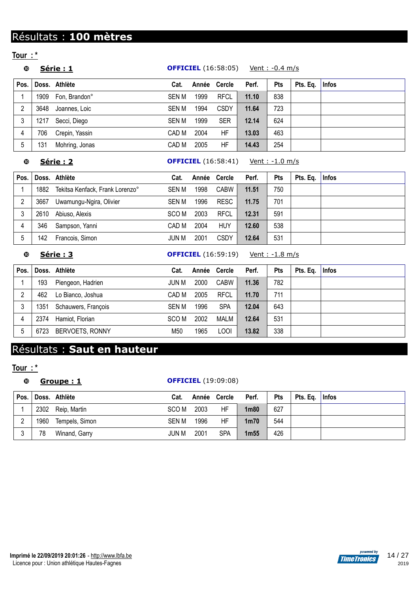# Résultats : **100 mètres**

**Tour : \***

# **Série : 1 OFFICIEL** (16:58:05) Vent : -0.4 m/s **Pos. Doss. Athlète Cat. Année Cercle Perf. Pts Pts. Eq. Infos** 1 1909 Fon, Brandon° SEN M 1999 RFCL **11.10** 838 2 3648 Joannes, Loic SEN M 1994 CSDY **11.64** 723 3 1217 Secci, Diego SEN M 1999 SER **12.14** 624 4 706 Crepin, Yassin CAD M 2004 HF **13.03** 463 5 131 Mohring, Jonas CAD M 2005 HF **14.43** 254

| 10 | verie : |  |
|----|---------|--|
|    |         |  |

**OFFICIEL** (16:58:41) Vent : -1.0 m/s

| Pos. |      | Doss. Athlète                   | Cat.  | Année | Cercle      | Perf. | <b>Pts</b> | Pts. Eq. | <b>Infos</b> |
|------|------|---------------------------------|-------|-------|-------------|-------|------------|----------|--------------|
|      | 1882 | Tekitsa Kenfack, Frank Lorenzo° | SEN M | 1998  | <b>CABW</b> | 11.51 | 750        |          |              |
|      | 3667 | Uwamungu-Ngira, Olivier         | SEN M | 1996  | <b>RESC</b> | 11.75 | 701        |          |              |
| 3    | 2610 | Abiuso, Alexis                  | SCO M | 2003  | <b>RFCL</b> | 12.31 | 591        |          |              |
| 4    | 346  | Sampson, Yanni                  | CAD M | 2004  | <b>HUY</b>  | 12.60 | 538        |          |              |
|      | 142  | Francois, Simon                 | JUN M | 2001  | <b>CSDY</b> | 12.64 | 531        |          |              |

**0 Série : 3 OFFICIEL** (16:59:19) Vent : -1.8 m/s

| Pos. |      | Doss. Athlète          | Cat.         | Année Cercle |             | Perf. | <b>Pts</b> | Pts. Eq. | Infos |
|------|------|------------------------|--------------|--------------|-------------|-------|------------|----------|-------|
|      | 193  | Piengeon, Hadrien      | JUN M        | 2000         | <b>CABW</b> | 11.36 | 782        |          |       |
|      | 462  | Lo Bianco, Joshua      | CAD M        | 2005         | <b>RFCL</b> | 11.70 | 711        |          |       |
|      | 1351 | Schauwers, François    | <b>SEN M</b> | 1996         | <b>SPA</b>  | 12.04 | 643        |          |       |
| 4    | 2374 | Hamiot, Florian        | SCO M        | 2002         | MALM        | 12.64 | 531        |          |       |
| 5    | 6723 | <b>BERVOETS, RONNY</b> | M50          | 1965         | LOOI        | 13.82 | 338        |          |       |

## Résultats : **Saut en hauteur**

## **Tour : \***

## **Groupe : 1 OFFICIEL** (19:09:08)

| Pos. |      | Doss. Athlète     | Cat.  |      | Année Cercle | Perf.            | <b>Pts</b> | Pts. Eq.   Infos |  |
|------|------|-------------------|-------|------|--------------|------------------|------------|------------------|--|
|      |      | 2302 Reip, Martin | SCO M | 2003 | HF           | 1 <sub>m80</sub> | 627        |                  |  |
|      | 1960 | Tempels, Simon    | SEN M | 1996 | HF           | $1m$ 70          | 544        |                  |  |
|      | 78   | Winand, Garry     | JUN M | 2001 | <b>SPA</b>   | 1 <sub>m55</sub> | 426        |                  |  |

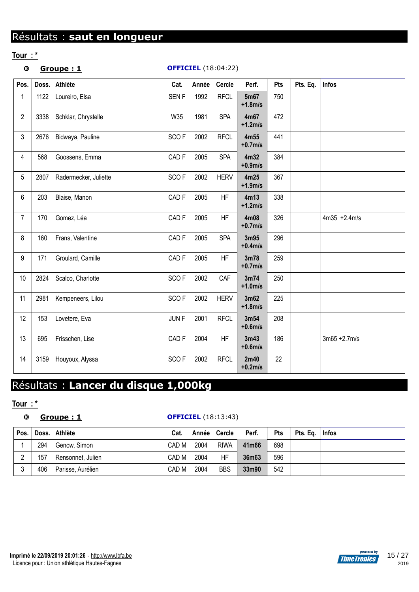## **Groupe : 1 OFFICIEL** (18:04:22)

| Pos.           |      | Doss. Athlète         | Cat.             | Année | Cercle      | Perf.              | Pts | Pts. Eq. | <b>Infos</b>    |
|----------------|------|-----------------------|------------------|-------|-------------|--------------------|-----|----------|-----------------|
| 1              | 1122 | Loureiro, Elsa        | <b>SENF</b>      | 1992  | <b>RFCL</b> | 5m67<br>$+1.8m/s$  | 750 |          |                 |
| $\overline{2}$ | 3338 | Schklar, Chrystelle   | W35              | 1981  | <b>SPA</b>  | 4m67<br>$+1.2m/s$  | 472 |          |                 |
| 3              | 2676 | Bidwaya, Pauline      | SCO <sub>F</sub> | 2002  | <b>RFCL</b> | 4m55<br>$+0.7$ m/s | 441 |          |                 |
| 4              | 568  | Goossens, Emma        | CAD <sub>F</sub> | 2005  | <b>SPA</b>  | 4m32<br>$+0.9m/s$  | 384 |          |                 |
| 5              | 2807 | Radermecker, Juliette | SCO <sub>F</sub> | 2002  | <b>HERV</b> | 4m25<br>$+1.9m/s$  | 367 |          |                 |
| 6              | 203  | Blaise, Manon         | CAD <sub>F</sub> | 2005  | HF          | 4m13<br>$+1.2m/s$  | 338 |          |                 |
| $\overline{7}$ | 170  | Gomez, Léa            | CAD <sub>F</sub> | 2005  | HF          | 4m08<br>$+0.7$ m/s | 326 |          | $4m35 + 2.4m/s$ |
| 8              | 160  | Frans, Valentine      | CAD <sub>F</sub> | 2005  | <b>SPA</b>  | 3m95<br>$+0.4$ m/s | 296 |          |                 |
| 9              | 171  | Groulard, Camille     | CAD <sub>F</sub> | 2005  | HF          | 3m78<br>$+0.7$ m/s | 259 |          |                 |
| 10             | 2824 | Scalco, Charlotte     | SCO <sub>F</sub> | 2002  | CAF         | 3m74<br>$+1.0m/s$  | 250 |          |                 |
| 11             | 2981 | Kempeneers, Lilou     | SCO <sub>F</sub> | 2002  | <b>HERV</b> | 3m62<br>$+1.8m/s$  | 225 |          |                 |
| 12             | 153  | Lovetere, Eva         | JUN F            | 2001  | <b>RFCL</b> | 3m54<br>$+0.6$ m/s | 208 |          |                 |
| 13             | 695  | Frisschen, Lise       | CAD <sub>F</sub> | 2004  | HF          | 3m43<br>$+0.6$ m/s | 186 |          | $3m65 + 2.7m/s$ |
| 14             | 3159 | Houyoux, Alyssa       | SCO <sub>F</sub> | 2002  | <b>RFCL</b> | 2m40<br>$+0.2$ m/s | 22  |          |                 |

# Résultats : **Lancer du disque 1,000kg**

**Tour : \***

## **Groupe : 1 OFFICIEL** (18:13:43)

| Pos. |     | Doss. Athlète     | Cat.  |      | Année Cercle | Perf. | <b>Pts</b> | Pts. Eq. | $ $ Infos |
|------|-----|-------------------|-------|------|--------------|-------|------------|----------|-----------|
|      | 294 | Genow, Simon      | CAD M | 2004 | <b>RIWA</b>  | 41m66 | 698        |          |           |
|      | 157 | Rensonnet, Julien | CAD M | 2004 | HF           | 36m63 | 596        |          |           |
| ົ    | 406 | Parisse, Aurélien | CAD M | 2004 | <b>BBS</b>   | 33m90 | 542        |          |           |

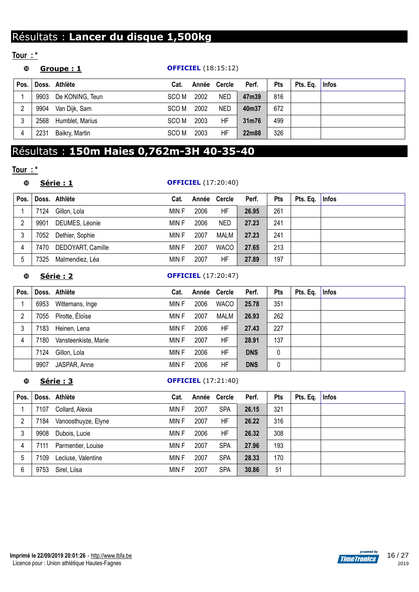# Résultats : **Lancer du disque 1,500kg**

## **Tour : \***

| ⊕    |      | Groupe: 1       |       |      | <b>OFFICIEL</b> (18:15:12) |       |            |          |           |
|------|------|-----------------|-------|------|----------------------------|-------|------------|----------|-----------|
| Pos. |      | Doss. Athlète   | Cat.  |      | Année Cercle               | Perf. | <b>Pts</b> | Pts. Eq. | $ $ Infos |
|      | 9903 | De KONING, Teun | SCO M | 2002 | NED                        | 47m39 | 816        |          |           |
| 2    | 9904 | Van Dijk, Sam   | SCO M | 2002 | NED                        | 40m37 | 672        |          |           |
|      | 2568 | Humblet, Marius | SCO M | 2003 | HF                         | 31m76 | 499        |          |           |
| 4    | 2231 | Baikry, Martin  | SCO M | 2003 | ΗF                         | 22m88 | 326        |          |           |

# Résultats : **150m Haies 0,762m-3H 40-35-40**

## **Tour : \***

## **Série : 1 OFFICIEL** (17:20:40)

| Pos. |      | Doss. Athlète     | Cat.        | Année | Cercle      | Perf. | <b>Pts</b> | Pts. Eq. | <b>Infos</b> |
|------|------|-------------------|-------------|-------|-------------|-------|------------|----------|--------------|
|      | 7124 | Gillon, Lola      | MIN F       | 2006  | HF          | 26.95 | 261        |          |              |
| っ    | 9901 | DEUMES, Léonie    | MIN F       | 2006  | <b>NED</b>  | 27.23 | 241        |          |              |
| 3    | 7052 | Dethier, Sophie   | MIN F       | 2007  | MALM        | 27.23 | 241        |          |              |
| 4    | 7470 | DEDOYART, Camille | MIN F       | 2007  | <b>WACO</b> | 27.65 | 213        |          |              |
| 5    | 7325 | Malmendiez, Léa   | <b>MINF</b> | 2007  | HF          | 27.89 | 197        |          |              |

## **Série : 2 OFFICIEL** (17:20:47)

| Pos. |      | Doss. Athlète        | Cat.  |      | Année Cercle | Perf.      | <b>Pts</b> | Pts. Eq. | $ $ Infos |
|------|------|----------------------|-------|------|--------------|------------|------------|----------|-----------|
|      | 6953 | Wittemans, Inge      | MIN F | 2006 | <b>WACO</b>  | 25.78      | 351        |          |           |
| 2    | 7055 | Pirotte, Éloïse      | MIN F | 2007 | MALM         | 26.93      | 262        |          |           |
| 3    | 7183 | Heinen, Lena         | MIN F | 2006 | HF           | 27.43      | 227        |          |           |
| 4    | 7180 | Vansteenkiste, Marie | MIN F | 2007 | ΗF           | 28.91      | 137        |          |           |
|      | 7124 | Gillon, Lola         | MIN F | 2006 | ΗF           | <b>DNS</b> | 0          |          |           |
|      | 9907 | JASPAR, Anne         | MIN F | 2006 | ΗF           | <b>DNS</b> | 0          |          |           |

## **Série : 3 OFFICIEL** (17:21:40)

| Pos. |      | Doss. Athlète       | Cat.  | Année | Cercle     | Perf. | <b>Pts</b> | Pts. Eq. | <b>Infos</b> |
|------|------|---------------------|-------|-------|------------|-------|------------|----------|--------------|
|      | 7107 | Collard, Alexia     | MIN F | 2007  | <b>SPA</b> | 26.15 | 321        |          |              |
|      | 7184 | Vanoosthuyze, Elyne | MIN F | 2007  | ΗF         | 26.22 | 316        |          |              |
| 3    | 9908 | Dubois, Lucie       | MIN F | 2006  | ΗF         | 26.32 | 308        |          |              |
| 4    | 7111 | Parmentier, Louise  | MIN F | 2007  | <b>SPA</b> | 27.96 | 193        |          |              |
| 5    | 7109 | Lecluse, Valentine  | MIN F | 2007  | <b>SPA</b> | 28.33 | 170        |          |              |
| 6    | 9753 | Sirel, Liisa        | MIN F | 2007  | <b>SPA</b> | 30.86 | 51         |          |              |

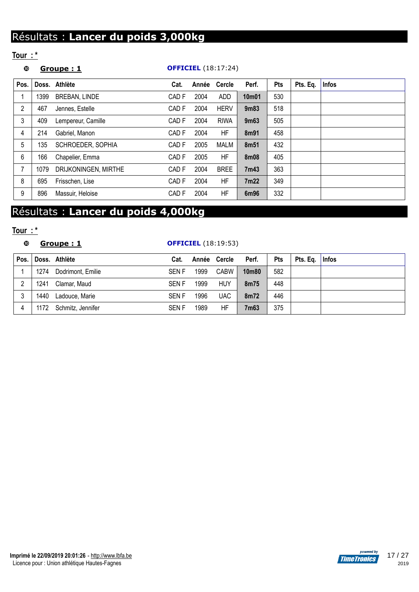# Résultats : **Lancer du poids 3,000kg**

## **Tour : \***

## **Groupe : 1 OFFICIEL** (18:17:24)

| Pos. |      | Doss. Athlète        | Cat.             | Année | Cercle      | Perf.              | Pts | Pts. Eq. | Infos |
|------|------|----------------------|------------------|-------|-------------|--------------------|-----|----------|-------|
|      | 1399 | <b>BREBAN, LINDE</b> | CAD F            | 2004  | ADD         | 10 <sub>m</sub> 01 | 530 |          |       |
| 2    | 467  | Jennes, Estelle      | CAD F            | 2004  | <b>HERV</b> | 9m83               | 518 |          |       |
| 3    | 409  | Lempereur, Camille   | CAD F            | 2004  | <b>RIWA</b> | 9m63               | 505 |          |       |
| 4    | 214  | Gabriel, Manon       | CAD F            | 2004  | ΗF          | 8m91               | 458 |          |       |
| 5    | 135  | SCHROEDER, SOPHIA    | CAD F            | 2005  | MALM        | 8m <sub>51</sub>   | 432 |          |       |
| 6    | 166  | Chapelier, Emma      | CAD <sub>F</sub> | 2005  | <b>HF</b>   | 8m08               | 405 |          |       |
| 7    | 1079 | DRIJKONINGEN, MIRTHE | CAD F            | 2004  | <b>BREE</b> | 7m43               | 363 |          |       |
| 8    | 695  | Frisschen, Lise      | CAD F            | 2004  | <b>HF</b>   | 7m22               | 349 |          |       |
| 9    | 896  | Massuir, Heloise     | CAD <sub>F</sub> | 2004  | HF          | 6m96               | 332 |          |       |

# Résultats : **Lancer du poids 4,000kg**

## **Tour : \***

## **Groupe : 1 OFFICIEL** (18:19:53)

| Pos. |      | Doss. Athlète     | Cat.        | Année | Cercle      | Perf. | <b>Pts</b> | Pts. Eq. | <b>Infos</b> |
|------|------|-------------------|-------------|-------|-------------|-------|------------|----------|--------------|
|      | 1274 | Dodrimont, Emilie | <b>SENF</b> | 1999  | <b>CABW</b> | 10m80 | 582        |          |              |
| ⌒    | 1241 | Clamar, Maud      | <b>SENF</b> | 1999  | HUY         | 8m75  | 448        |          |              |
| າ    | 1440 | Ladouce, Marie    | <b>SENF</b> | 1996  | <b>UAC</b>  | 8m72  | 446        |          |              |
|      | 1172 | Schmitz, Jennifer | <b>SENF</b> | 1989  | HF          | 7m63  | 375        |          |              |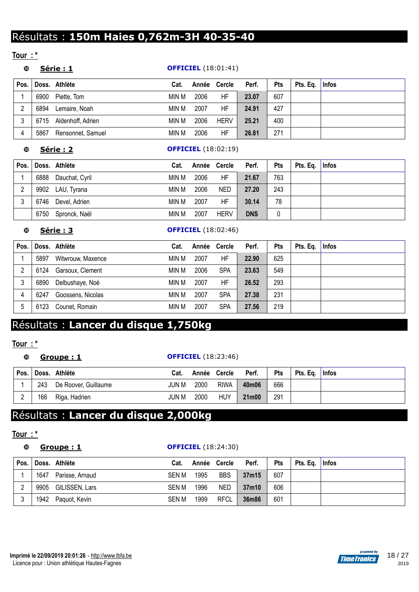# Résultats : **150m Haies 0,762m-3H 40-35-40**

### **Tour : \***

## **Série : 1 OFFICIEL** (18:01:41) **Pos. Doss. Athlète Cat. Année Cercle Perf. Pts Pts. Eq. Infos** 1 6900 Piette, Tom **MIN M 2006** HF 23.07 607 2 6894 Lemaire, Noah MIN M 2007 HF **24.91** 427 3 6715 Aldenhoff, Adrien MIN M 2006 HERV **25.21** 400 4 5867 Rensonnet, Samuel MIN M 2006 HF **26.81** 271

### **Série : 2 OFFICIEL** (18:02:19)

| Pos. |      | Doss. Athlète  | Cat.  |      | Année Cercle | Perf.      | <b>Pts</b> | Pts. Eq. | $ $ Infos |
|------|------|----------------|-------|------|--------------|------------|------------|----------|-----------|
|      | 6888 | Dauchat, Cyril | min M | 2006 | HF           | 21.67      | 763        |          |           |
|      | 9902 | LAU, Tyrana    | MIN M | 2006 | <b>NED</b>   | 27.20      | 243        |          |           |
|      | 6746 | Devel, Adrien  | MIN M | 2007 | HF           | 30.14      | 78         |          |           |
|      | 6750 | Spronck, Naël  | MIN M | 2007 | <b>HERV</b>  | <b>DNS</b> |            |          |           |

### **Série : 3 OFFICIEL** (18:02:46)

| Pos. |      | Doss. Athlète     | Cat.         | Année Cercle |            | Perf. | <b>Pts</b> | Pts. Eq. | <b>Infos</b> |
|------|------|-------------------|--------------|--------------|------------|-------|------------|----------|--------------|
|      | 5897 | Witwrouw, Maxence | MIN M        | 2007         | HF         | 22.90 | 625        |          |              |
|      | 6124 | Garsoux, Clement  | MIN M        | 2006         | <b>SPA</b> | 23.63 | 549        |          |              |
| 3    | 6890 | Delbushaye, Noé   | <b>MIN M</b> | 2007         | HF         | 26.52 | 293        |          |              |
| 4    | 6247 | Goossens, Nicolas | <b>MIN M</b> | 2007         | <b>SPA</b> | 27.38 | 231        |          |              |
| 5    | 6123 | Counet, Romain    | MIN M        | 2007         | <b>SPA</b> | 27.56 | 219        |          |              |

# Résultats : **Lancer du disque 1,750kg**

## **Tour : \***

## **Groupe : 1 OFFICIEL** (18:23:46)

| Pos. |     | Doss. Athlète        | Cat.         | Année | Cercle      | Perf. | <b>Pts</b> | Pts. Eg. | <b>Infos</b> |
|------|-----|----------------------|--------------|-------|-------------|-------|------------|----------|--------------|
|      | 243 | De Roover, Guillaume | <b>JUN M</b> | 2000  | <b>RIWA</b> | 40m06 | 666        |          |              |
| ı    | 166 | Riga, Hadrien        | JUN M        | 2000  | HUY         | 21m00 | 291        |          |              |

# Résultats : **Lancer du disque 2,000kg**

## **Tour : \***

### **Groupe : 1 OFFICIEL** (18:24:30)

| Pos. |      | Doss. Athlète   | Cat.  | Année | Cercle      | Perf. | <b>Pts</b> | Pts. Eq. | <b>Infos</b> |
|------|------|-----------------|-------|-------|-------------|-------|------------|----------|--------------|
|      | 1647 | Parisse, Arnaud | SEN M | 1995  | <b>BBS</b>  | 37m15 | 607        |          |              |
|      | 9905 | GILISSEN, Lars  | SEN M | 1996  | <b>NED</b>  | 37m10 | 606        |          |              |
|      | 1942 | Paquot, Kevin   | SEN M | 1999  | <b>RFCL</b> | 36m86 | 601        |          |              |

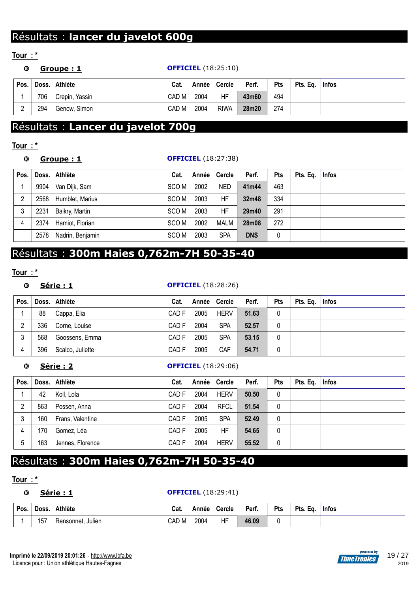# Résultats : **lancer du javelot 600g**

### **Tour : \***

| ◍    |     | <u>Groupe: 1</u> |       |      | <b>OFFICIEL</b> (18:25:10) |       |            |                  |  |
|------|-----|------------------|-------|------|----------------------------|-------|------------|------------------|--|
| Pos. |     | Doss. Athlète    | Cat.  |      | Année Cercle               | Perf. | <b>Pts</b> | Pts. Eq.   Infos |  |
|      | 706 | Crepin, Yassin   | CAD M | 2004 | HF                         | 43m60 | 494        |                  |  |
|      | 294 | Genow, Simon     | CAD M | 2004 | <b>RIWA</b>                | 28m20 | 274        |                  |  |

## Résultats : **Lancer du javelot 700g**

## **Tour : \***

### **Groupe : 1 OFFICIEL** (18:27:38)

| Pos. |      | Doss. Athlète    | Cat.             |      | Année Cercle | Perf.      | <b>Pts</b> | Pts. Eq. | $ $ Infos |
|------|------|------------------|------------------|------|--------------|------------|------------|----------|-----------|
|      | 9904 | Van Dijk, Sam    | SCO M            | 2002 | <b>NED</b>   | 41m44      | 463        |          |           |
| 2    | 2568 | Humblet, Marius  | SCO M            | 2003 | HF           | 32m48      | 334        |          |           |
| 3    | 2231 | Baikry, Martin   | SCO M            | 2003 | HF           | 29m40      | 291        |          |           |
| 4    | 2374 | Hamiot, Florian  | SCO M            | 2002 | MALM         | 28m08      | 272        |          |           |
|      | 2578 | Nadrin, Benjamin | SCO <sub>M</sub> | 2003 | <b>SPA</b>   | <b>DNS</b> |            |          |           |

# Résultats : **300m Haies 0,762m-7H 50-35-40**

## **Tour : \***

## **Série : 1 OFFICIEL** (18:28:26)

| Pos.           |     | Doss. Athlète    | Cat.  |      | Année Cercle | Perf. | Pts | Pts. Eq. | <b>Infos</b> |
|----------------|-----|------------------|-------|------|--------------|-------|-----|----------|--------------|
|                | 88  | Cappa, Elia      | CAD F | 2005 | <b>HERV</b>  | 51.63 |     |          |              |
| $\overline{2}$ | 336 | Corne, Louise    | CAD F | 2004 | <b>SPA</b>   | 52.57 |     |          |              |
| 3              | 568 | Goossens, Emma   | CAD F | 2005 | <b>SPA</b>   | 53.15 |     |          |              |
|                | 396 | Scalco, Juliette | CAD F | 2005 | CAF          | 54.71 |     |          |              |

### **Série : 2 OFFICIEL** (18:29:06)

| Pos. |     | Doss. Athlète    | Cat.             |      | Année Cercle | Perf. | <b>Pts</b> | Pts. Eq. | <b>Infos</b> |
|------|-----|------------------|------------------|------|--------------|-------|------------|----------|--------------|
|      | 42  | Koll, Lola       | CAD <sub>F</sub> | 2004 | <b>HERV</b>  | 50.50 | 0          |          |              |
| C    | 863 | Possen, Anna     | CAD <sub>F</sub> | 2004 | <b>RFCL</b>  | 51.54 | 0          |          |              |
| າ    | 160 | Frans, Valentine | CAD <sub>F</sub> | 2005 | <b>SPA</b>   | 52.49 | 0          |          |              |
| 4    | 170 | Gomez, Léa       | CAD <sub>F</sub> | 2005 | ΗF           | 54.65 | 0          |          |              |
| 5    | 163 | Jennes, Florence | CAD <sub>F</sub> | 2004 | <b>HERV</b>  | 55.52 | 0          |          |              |

# Résultats : **300m Haies 0,762m-7H 50-35-40**

### **Tour : \***

### **Série : 1 OFFICIEL** (18:29:41)

| Pos. | Doss.     | Athlète           | Cat.  | Année | <b>Cercle</b> | Perf. | Pts | Eq.<br>Pts. | <b>Infos</b> |
|------|-----------|-------------------|-------|-------|---------------|-------|-----|-------------|--------------|
|      | 15.<br>ιJ | Rensonnet, Julien | CAD M | 2004  | HF            | 46.09 |     |             |              |

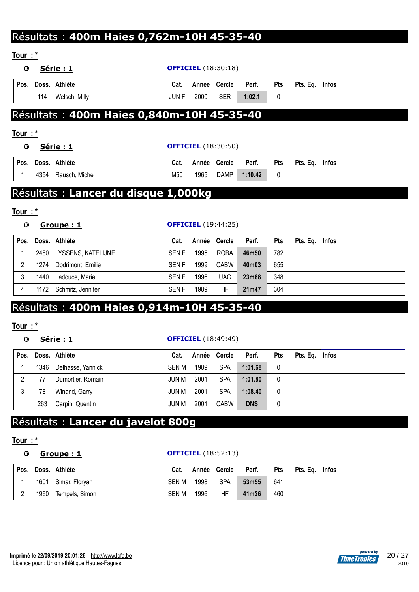# Résultats : **400m Haies 0,762m-10H 45-35-40**

**Tour : \***

| ◍    |     | Série : 1       |       |      | <b>OFFICIEL</b> (18:30:18) |        |     |          |              |
|------|-----|-----------------|-------|------|----------------------------|--------|-----|----------|--------------|
| Pos. |     | ∣ Doss. Athlète | Cat.  |      | Année Cercle               | Perf.  | Pts | Pts. Eq. | <b>Infos</b> |
|      | 114 | Welsch, Milly   | JUN F | 2000 | <b>SER</b>                 | 1:02.1 |     |          |              |

# Résultats : **400m Haies 0,840m-10H 45-35-40**

## **Tour : \***

**Série : 1 OFFICIEL** (18:30:50)

| Pos. | Doss. | Athlète        | Cat. | Année | <b>Cercle</b> | Perf.   | Pts | Pts. Eq. | <b>Infos</b> |
|------|-------|----------------|------|-------|---------------|---------|-----|----------|--------------|
|      | 4354  | Rausch, Michel | M50  | 1965  | <b>DAMP</b>   | 1:10.42 |     |          |              |

## Résultats : **Lancer du disque 1,000kg**

## **Tour : \***

| ◍    |      | Groupe: 1          |             | <b>OFFICIEL</b> (19:44:25) |              |       |            |          |              |  |  |  |
|------|------|--------------------|-------------|----------------------------|--------------|-------|------------|----------|--------------|--|--|--|
| Pos. |      | Doss. Athlète      | Cat.        |                            | Année Cercle | Perf. | <b>Pts</b> | Pts. Eq. | <b>Infos</b> |  |  |  |
|      | 2480 | LYSSENS, KATELIJNE | <b>SENF</b> | 1995                       | <b>ROBA</b>  | 46m50 | 782        |          |              |  |  |  |
| റ    | 1274 | Dodrimont, Emilie  | <b>SENF</b> | 1999                       | <b>CABW</b>  | 40m03 | 655        |          |              |  |  |  |
|      | 1440 | Ladouce, Marie     | <b>SENF</b> | 1996                       | <b>UAC</b>   | 23m88 | 348        |          |              |  |  |  |
|      | 1172 | Schmitz, Jennifer  | <b>SENF</b> | 1989                       | ΗF           | 21m47 | 304        |          |              |  |  |  |

# Résultats : **400m Haies 0,914m-10H 45-35-40**

## **Tour : \***

## **Série : 1 OFFICIEL** (18:49:49)

| Pos. |      | Doss. Athlète     | Cat.  |      | Année Cercle | Perf.      | <b>Pts</b> | Pts. Eq.   Infos |  |
|------|------|-------------------|-------|------|--------------|------------|------------|------------------|--|
|      | 1346 | Delhasse, Yannick | SEN M | 1989 | SPA          | 1:01.68    | 0          |                  |  |
| C    |      | Dumortier, Romain | JUN M | 2001 | <b>SPA</b>   | 1:01.80    | 0          |                  |  |
| ົ    | 78   | Winand, Garry     | JUN M | 2001 | <b>SPA</b>   | 1:08.40    |            |                  |  |
|      | 263  | Carpin, Quentin   | JUN M | 2001 | <b>CABW</b>  | <b>DNS</b> |            |                  |  |

## Résultats : **Lancer du javelot 800g**

## **Tour : \***

### **Groupe : 1 OFFICIEL** (18:52:13)

| Pos.     |      | Doss. Athlète  | Cat.  |      | Année Cercle | Perf. | <b>Pts</b> | Pts. Eq. | $ $ Infos |
|----------|------|----------------|-------|------|--------------|-------|------------|----------|-----------|
|          | 1601 | Simar, Floryan | SEN M | 1998 | <b>SPA</b>   | 53m55 | 641        |          |           |
| <u>.</u> | 1960 | Tempels, Simon | SEN M | 1996 | ΗF           | 41m26 | 460        |          |           |

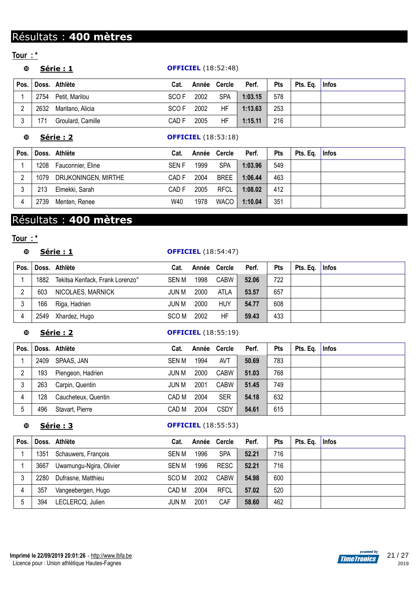# Résultats : **400 mètres**

**Tour : \***

## **Série : 1 OFFICIEL** (18:52:48)

| Pos. |      | Doss. Athlète       | Cat.             |      | Année Cercle | Perf.   | <b>Pts</b> | Pts. Eq. | <b>Infos</b> |
|------|------|---------------------|------------------|------|--------------|---------|------------|----------|--------------|
|      |      | 2754 Petit, Marilou | SCO <sub>F</sub> | 2002 | <b>SPA</b>   | 1:03.15 | 578        |          |              |
|      | 2632 | Maritano, Alicia    | SCO F            | 2002 | HF           | 1:13.63 | 253        |          |              |
|      | 171  | Groulard, Camille   | CAD F            | 2005 | HF           | 1:15.11 | 216        |          |              |

## **Série : 2 OFFICIEL** (18:53:18)

| Pos. |      | Doss. Athlète        | Cat.        |      | Année Cercle | Perf.   | <b>Pts</b> | Pts. Eq. | <b>Infos</b> |
|------|------|----------------------|-------------|------|--------------|---------|------------|----------|--------------|
|      | 1208 | Fauconnier, Eline    | <b>SENF</b> | 1999 | <b>SPA</b>   | 1:03.96 | 549        |          |              |
|      | 1079 | DRIJKONINGEN, MIRTHE | CAD F       | 2004 | <b>BREE</b>  | 1:06.44 | 463        |          |              |
|      | 213  | Elmekki. Sarah       | CAD F       | 2005 | RFCL         | 1:08.02 | 412        |          |              |
|      | 2739 | Menten, Renee        | W40         | 1978 | WACO         | 1:10.04 | 351        |          |              |

## Résultats : **400 mètres**

## **Tour : \***

## **Série : 1 OFFICIEL** (18:54:47)

| Pos. |      | Doss. Athlète                   | Cat.  |      | Année Cercle | Perf. | <b>Pts</b> | Pts. Ea. | $ $ Infos |
|------|------|---------------------------------|-------|------|--------------|-------|------------|----------|-----------|
|      | 1882 | Tekitsa Kenfack, Frank Lorenzo° | SEN M | 1998 | CABW         | 52.06 | 722        |          |           |
|      | 603  | NICOLAES, MARNICK               | JUN M | 2000 | <b>ATLA</b>  | 53.57 | 657        |          |           |
|      | 166  | Riga, Hadrien                   | JUN M | 2000 | <b>HUY</b>   | 54.77 | 608        |          |           |
|      | 2549 | Xhardez, Hugo                   | SCO M | 2002 | ΗF           | 59.43 | 433        |          |           |

## **Série : 2 OFFICIEL** (18:55:19)

| Pos. |      | Doss. Athlète       | Cat.         |      | Année Cercle | Perf. | <b>Pts</b> | Pts. Eq. | <b>Infos</b> |
|------|------|---------------------|--------------|------|--------------|-------|------------|----------|--------------|
|      | 2409 | SPAAS, JAN          | <b>SEN M</b> | 1994 | AVT          | 50.69 | 783        |          |              |
| 2    | 193  | Piengeon, Hadrien   | JUN M        | 2000 | <b>CABW</b>  | 51.03 | 768        |          |              |
| 3    | 263  | Carpin, Quentin     | JUN M        | 2001 | <b>CABW</b>  | 51.45 | 749        |          |              |
| 4    | 128  | Caucheteux, Quentin | CAD M        | 2004 | <b>SER</b>   | 54.18 | 632        |          |              |
| 5    | 496  | Stavart, Pierre     | CAD M        | 2004 | <b>CSDY</b>  | 54.61 | 615        |          |              |

## **Série : 3 OFFICIEL** (18:55:53)

| Pos. |      | Doss. Athlète           | Cat.  | Année Cercle |             | Perf. | <b>Pts</b> | Pts. Eq. | <b>Infos</b> |
|------|------|-------------------------|-------|--------------|-------------|-------|------------|----------|--------------|
|      | 1351 | Schauwers, François     | SEN M | 1996         | <b>SPA</b>  | 52.21 | 716        |          |              |
|      | 3667 | Uwamungu-Ngira, Olivier | SEN M | 1996         | <b>RESC</b> | 52.21 | 716        |          |              |
| 3    | 2280 | Dufrasne, Matthieu      | SCO M | 2002         | <b>CABW</b> | 54.98 | 600        |          |              |
| 4    | 357  | Vangeebergen, Hugo      | CAD M | 2004         | <b>RFCL</b> | 57.02 | 520        |          |              |
| 5    | 394  | LECLERCQ, Julien        | JUN M | 2001         | CAF         | 58.60 | 462        |          |              |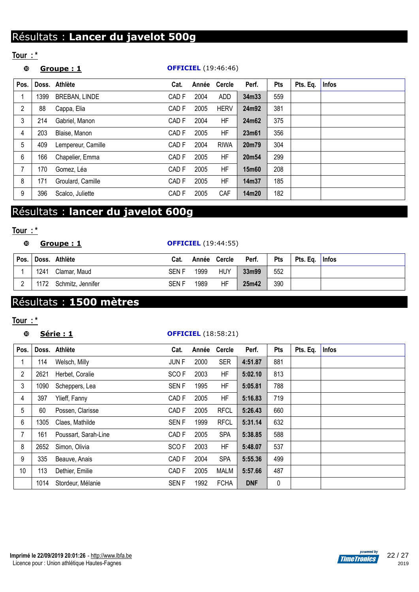# Résultats : **Lancer du javelot 500g**

## **Tour : \***

## **Groupe : 1 OFFICIEL** (19:46:46)

| Pos.           |      | Doss. Athlète        | Cat.             | Année | <b>Cercle</b> | Perf. | <b>Pts</b> | Pts. Eq. | Infos |
|----------------|------|----------------------|------------------|-------|---------------|-------|------------|----------|-------|
| 4              | 1399 | <b>BREBAN, LINDE</b> | CAD <sub>F</sub> | 2004  | ADD           | 34m33 | 559        |          |       |
| $\overline{2}$ | 88   | Cappa, Elia          | CAD F            | 2005  | <b>HERV</b>   | 24m92 | 381        |          |       |
| 3              | 214  | Gabriel, Manon       | CAD <sub>F</sub> | 2004  | HF            | 24m62 | 375        |          |       |
| 4              | 203  | Blaise, Manon        | CAD <sub>F</sub> | 2005  | HF            | 23m61 | 356        |          |       |
| 5              | 409  | Lempereur, Camille   | CAD F            | 2004  | <b>RIWA</b>   | 20m79 | 304        |          |       |
| 6              | 166  | Chapelier, Emma      | CAD F            | 2005  | HF            | 20m54 | 299        |          |       |
| 7              | 170  | Gomez, Léa           | CAD F            | 2005  | HF            | 15m60 | 208        |          |       |
| 8              | 171  | Groulard, Camille    | CAD <sub>F</sub> | 2005  | HF            | 14m37 | 185        |          |       |
| 9              | 396  | Scalco, Juliette     | CAD <sub>F</sub> | 2005  | CAF           | 14m20 | 182        |          |       |

## Résultats : **lancer du javelot 600g**

## **Tour : \***

| : 1 |  |  |  |
|-----|--|--|--|
|     |  |  |  |

## **Groupe : 1 OFFICIEL** (19:44:55)

| Pos. |      | Doss. Athlète     | Cat.        |      | Année Cercle | Perf. | <b>Pts</b> | Pts. Eq.   Infos |  |
|------|------|-------------------|-------------|------|--------------|-------|------------|------------------|--|
|      | 1241 | Clamar, Maud      | <b>SENF</b> | 1999 | <b>HUY</b>   | 33m99 | 552        |                  |  |
|      | 1172 | Schmitz, Jennifer | <b>SENF</b> | 1989 | ΗF           | 25m42 | 390        |                  |  |

## Résultats : **1500 mètres**

## **Tour : \***

## **Série : 1 OFFICIEL** (18:58:21)

| Pos.           |      | Doss. Athlète        | Cat.             | Année | <b>Cercle</b> | Perf.      | <b>Pts</b> | Pts. Eq. | <b>Infos</b> |
|----------------|------|----------------------|------------------|-------|---------------|------------|------------|----------|--------------|
|                | 114  | Welsch, Milly        | <b>JUNF</b>      | 2000  | <b>SER</b>    | 4:51.87    | 881        |          |              |
| $\overline{2}$ | 2621 | Herbet, Coralie      | SCO <sub>F</sub> | 2003  | HF            | 5:02.10    | 813        |          |              |
| 3              | 1090 | Scheppers, Lea       | <b>SENF</b>      | 1995  | HF            | 5:05.81    | 788        |          |              |
| 4              | 397  | Ylieff, Fanny        | CAD <sub>F</sub> | 2005  | <b>HF</b>     | 5:16.83    | 719        |          |              |
| 5              | 60   | Possen, Clarisse     | CAD <sub>F</sub> | 2005  | <b>RFCL</b>   | 5:26.43    | 660        |          |              |
| 6              | 1305 | Claes, Mathilde      | <b>SENF</b>      | 1999  | <b>RFCL</b>   | 5:31.14    | 632        |          |              |
| 7              | 161  | Poussart, Sarah-Line | CAD <sub>F</sub> | 2005  | <b>SPA</b>    | 5:38.85    | 588        |          |              |
| 8              | 2652 | Simon, Olivia        | SCO <sub>F</sub> | 2003  | <b>HF</b>     | 5:48.07    | 537        |          |              |
| 9              | 335  | Beauve, Anais        | CAD <sub>F</sub> | 2004  | <b>SPA</b>    | 5:55.36    | 499        |          |              |
| 10             | 113  | Dethier, Emilie      | CAD F            | 2005  | <b>MALM</b>   | 5:57.66    | 487        |          |              |
|                | 1014 | Stordeur, Mélanie    | <b>SENF</b>      | 1992  | <b>FCHA</b>   | <b>DNF</b> | 0          |          |              |

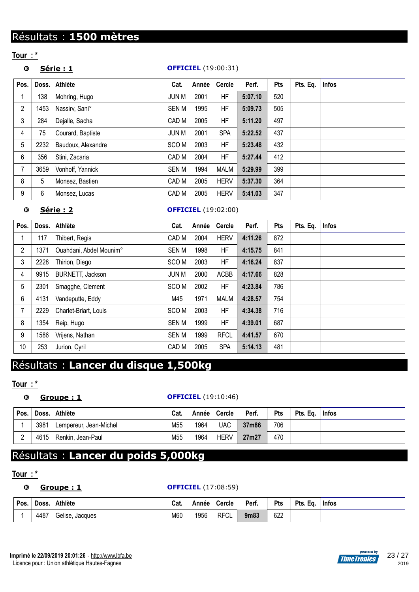# Résultats : **1500 mètres**

**Tour : \***

## **Série : 1 OFFICIEL** (19:00:31)

| Pos.         | Doss. | Athlète            | Cat.         | Année | Cercle      | Perf.   | Pts | Pts. Eq. | Infos |
|--------------|-------|--------------------|--------------|-------|-------------|---------|-----|----------|-------|
|              | 138   | Mohring, Hugo      | JUN M        | 2001  | HF          | 5:07.10 | 520 |          |       |
| 2            | 1453  | Nassirv, Sani°     | <b>SEN M</b> | 1995  | HF          | 5:09.73 | 505 |          |       |
| $\mathbf{3}$ | 284   | Dejalle, Sacha     | CAD M        | 2005  | HF          | 5:11.20 | 497 |          |       |
| 4            | 75    | Courard, Baptiste  | <b>JUN M</b> | 2001  | <b>SPA</b>  | 5:22.52 | 437 |          |       |
| 5            | 2232  | Baudoux, Alexandre | SCO M        | 2003  | <b>HF</b>   | 5:23.48 | 432 |          |       |
| 6            | 356   | Stini, Zacaria     | CAD M        | 2004  | <b>HF</b>   | 5:27.44 | 412 |          |       |
| 7            | 3659  | Vonhoff, Yannick   | <b>SEN M</b> | 1994  | MALM        | 5:29.99 | 399 |          |       |
| 8            | 5     | Monsez, Bastien    | CAD M        | 2005  | <b>HERV</b> | 5:37.30 | 364 |          |       |
| 9            | 6     | Monsez, Lucas      | CAD M        | 2005  | <b>HERV</b> | 5:41.03 | 347 |          |       |

## **Série : 2 OFFICIEL** (19:02:00)

| Pos.           |      | Doss. Athlète           | Cat.             | Année | <b>Cercle</b> | Perf.   | Pts | Pts. Eq. | <b>Infos</b> |
|----------------|------|-------------------------|------------------|-------|---------------|---------|-----|----------|--------------|
|                | 117  | Thibert, Regis          | CAD M            | 2004  | <b>HERV</b>   | 4:11.26 | 872 |          |              |
| $\overline{2}$ | 1371 | Ouahdani, Abdel Mounim° | SEN M            | 1998  | ΗF            | 4:15.75 | 841 |          |              |
| 3              | 2228 | Thirion, Diego          | SCO <sub>M</sub> | 2003  | HF            | 4:16.24 | 837 |          |              |
| 4              | 9915 | BURNETT, Jackson        | JUN M            | 2000  | ACBB          | 4:17.66 | 828 |          |              |
| 5              | 2301 | Smagghe, Clement        | SCO <sub>M</sub> | 2002  | HF            | 4:23.84 | 786 |          |              |
| 6              | 4131 | Vandeputte, Eddy        | M45              | 1971  | MALM          | 4:28.57 | 754 |          |              |
| 7              | 2229 | Charlet-Briart, Louis   | SCO M            | 2003  | ΗF            | 4:34.38 | 716 |          |              |
| 8              | 1354 | Reip, Hugo              | SEN M            | 1999  | HF            | 4:39.01 | 687 |          |              |
| 9              | 1586 | Vrijens, Nathan         | SEN M            | 1999  | <b>RFCL</b>   | 4:41.57 | 670 |          |              |
| 10             | 253  | Jurion, Cyril           | CAD M            | 2005  | <b>SPA</b>    | 5:14.13 | 481 |          |              |

## Résultats : **Lancer du disque 1,500kg**

## **Tour : \***

## **Groupe : 1 OFFICIEL** (19:10:46)

| Pos. |      | Doss. Athlète          | Cat. | Année | Cercle      | Perf. | Pts | Pts. Eq. | <b>∣</b> Infos |
|------|------|------------------------|------|-------|-------------|-------|-----|----------|----------------|
|      | 3981 | Lempereur, Jean-Michel | M55  | 1964  | UAC         | 37m86 | 706 |          |                |
|      | 4615 | Renkin, Jean-Paul      | M55  | 1964  | <b>HERV</b> | 27m27 | 470 |          |                |

# Résultats : **Lancer du poids 5,000kg**

## **Tour : \***

| ⊕    |      | Groupe: 1       |      | <b>OFFICIEL</b> (17:08:59) |              |       |            |          |              |  |
|------|------|-----------------|------|----------------------------|--------------|-------|------------|----------|--------------|--|
| Pos. |      | Doss. Athlète   | Cat. |                            | Année Cercle | Perf. | <b>Pts</b> | Pts. Eg. | <b>Infos</b> |  |
|      | 4487 | Gelise, Jacques | M60  | 1956                       | RFCL         | 9m83  | 622        |          |              |  |

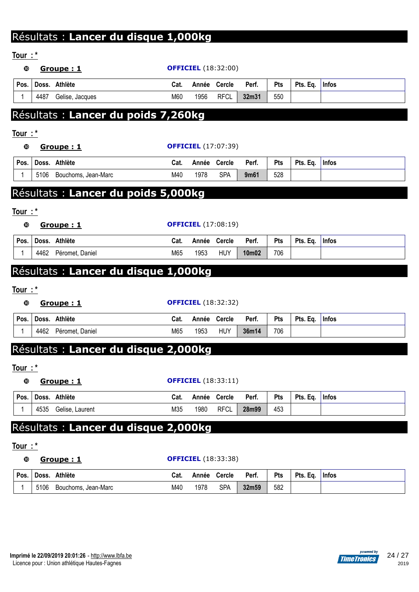# Résultats : **Lancer du disque 1,000kg**

| Tour $:$ $*$                         |      |                            |              |       |            |          |              |
|--------------------------------------|------|----------------------------|--------------|-------|------------|----------|--------------|
| ◍<br>Groupe: 1                       |      | <b>OFFICIEL</b> (18:32:00) |              |       |            |          |              |
| Doss. Athlète<br>Pos.                | Cat. |                            | Année Cercle | Perf. | Pts        | Pts. Eq. | <b>Infos</b> |
| 4487<br>1<br>Gelise, Jacques         | M60  | 1956                       | <b>RFCL</b>  | 32m31 | 550        |          |              |
| Résultats : Lancer du poids 7,260kg  |      |                            |              |       |            |          |              |
| Tour:*                               |      |                            |              |       |            |          |              |
| ◍<br>Groupe: 1                       |      | <b>OFFICIEL</b> (17:07:39) |              |       |            |          |              |
| Doss. Athlète<br>Pos.                | Cat. | Année                      | Cercle       | Perf. | Pts        | Pts. Eq. | <b>Infos</b> |
| 1<br>5106<br>Bouchoms, Jean-Marc     | M40  | 1978                       | <b>SPA</b>   | 9m61  | 528        |          |              |
| Résultats : Lancer du poids 5,000kg  |      |                            |              |       |            |          |              |
|                                      |      |                            |              |       |            |          |              |
| Tour $:$ $*$                         |      |                            |              |       |            |          |              |
| ◍<br>Groupe: 1                       |      | <b>OFFICIEL</b> (17:08:19) |              |       |            |          |              |
| Doss. Athlète<br>Pos.                | Cat. |                            | Année Cercle | Perf. | Pts        | Pts. Eq. | <b>Infos</b> |
| 4462 Péromet, Daniel<br>1            | M65  | 1953                       | <b>HUY</b>   | 10m02 | 706        |          |              |
| Résultats : Lancer du disque 1,000kg |      |                            |              |       |            |          |              |
| Tour $:$ $*$                         |      |                            |              |       |            |          |              |
| ◍<br>Groupe: 1                       |      | <b>OFFICIEL</b> (18:32:32) |              |       |            |          |              |
| Doss. Athlète<br>Pos.                | Cat. | Année                      | Cercle       | Perf. | <b>Pts</b> | Pts. Eq. | <b>Infos</b> |
| 1<br>4462<br>Péromet, Daniel         | M65  | 1953                       | <b>HUY</b>   | 36m14 | 706        |          |              |
| Résultats : Lancer du disque 2,000kg |      |                            |              |       |            |          |              |
| Tour:*                               |      |                            |              |       |            |          |              |
| Groupe: 1<br>◍                       |      | <b>OFFICIEL</b> (18:33:11) |              |       |            |          |              |
| Doss. Athlète<br>Pos.                | Cat. |                            | Année Cercle | Perf. | Pts        | Pts. Eq. | <b>Infos</b> |
| 4535<br>Gelise, Laurent<br>1         | M35  | 1980                       | <b>RFCL</b>  | 28m99 | 453        |          |              |
| Résultats : Lancer du disque 2,000kg |      |                            |              |       |            |          |              |
| <u>Tour: *</u>                       |      |                            |              |       |            |          |              |
| Groupe: 1<br>◍                       |      | <b>OFFICIEL</b> (18:33:38) |              |       |            |          |              |

| Pos. | Doss. | <b>Athlète</b>      | Cat. | Année | Cercle | Perf. | Pts | Pts. Eg. | <b>Infos</b> |
|------|-------|---------------------|------|-------|--------|-------|-----|----------|--------------|
|      | 5106  | Bouchoms, Jean-Marc | M40  | 1978  | SPA    | 32m59 | 582 |          |              |

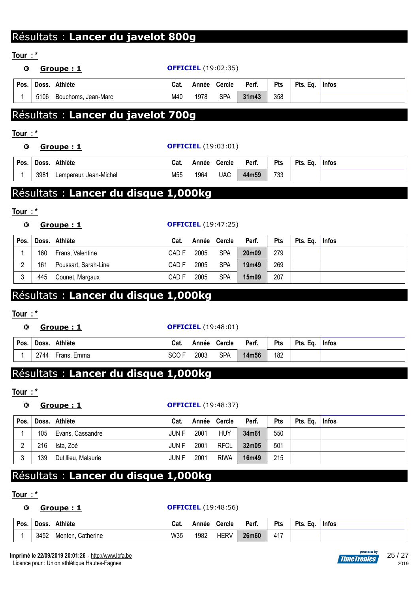# Résultats : **Lancer du javelot 800g**

**Tour : \***

| ◍                    |      | <u>Groupe: 1</u>                     |                  |       | <b>OFFICIEL</b> (19:02:35) |                    |            |          |              |
|----------------------|------|--------------------------------------|------------------|-------|----------------------------|--------------------|------------|----------|--------------|
| Pos.                 |      | Doss. Athlète                        | Cat.             | Année | Cercle                     | Perf.              | Pts        | Pts. Eq. | <b>Infos</b> |
| 1                    | 5106 | Bouchoms, Jean-Marc                  | M40              | 1978  | <b>SPA</b>                 | 31m43              | 358        |          |              |
|                      |      | Résultats : Lancer du javelot 700g   |                  |       |                            |                    |            |          |              |
| <u>Tour : *</u><br>◍ |      |                                      |                  |       | <b>OFFICIEL</b> (19:03:01) |                    |            |          |              |
|                      |      | <u>Groupe : 1</u>                    |                  |       |                            |                    |            |          |              |
| Pos.                 |      | Doss. Athlète                        | Cat.             | Année | <b>Cercle</b>              | Perf.              | <b>Pts</b> | Pts. Eq. | <b>Infos</b> |
|                      | 3981 | Lempereur, Jean-Michel               | M55              | 1964  | <b>UAC</b>                 | 44m59              | 733        |          |              |
|                      |      | Résultats : Lancer du disque 1,000kg |                  |       |                            |                    |            |          |              |
| <u>Tour : *</u>      |      |                                      |                  |       |                            |                    |            |          |              |
| ◍                    |      | <u>Groupe: 1</u>                     |                  |       | <b>OFFICIEL</b> (19:47:25) |                    |            |          |              |
| Pos.                 |      | Doss. Athlète                        | Cat.             | Année | <b>Cercle</b>              | Perf.              | Pts        | Pts. Eq. | <b>Infos</b> |
|                      | 160  | Frans, Valentine                     | CAD <sub>F</sub> | 2005  | <b>SPA</b>                 | 20 <sub>m</sub> 09 | 279        |          |              |
|                      |      | Poussart, Sarah-Line                 |                  |       |                            |                    |            |          |              |

## Résultats : **Lancer du disque 1,000kg**

### **Tour : \***

# **Groupe : 1 OFFICIEL** (19:48:01) **Pos. Doss. Athlète Cat. Année Cercle Perf. Pts Pts. Eq. Infos**

1 2744 Frans, Emma SCO F 2003 SPA **14m56** 182

3 445 Counet, Margaux CAD F 2005 SPA **15m99** 207

## Résultats : **Lancer du disque 1,000kg**

**Tour : \***

**Groupe : 1 OFFICIEL** (19:48:37)

| Pos. |     | Doss. Athlète       | Cat.        | Année | Cercle      | Perf. | <b>Pts</b> | Pts. Eg. | <b>Infos</b> |
|------|-----|---------------------|-------------|-------|-------------|-------|------------|----------|--------------|
|      | 105 | Evans, Cassandre    | <b>JUNF</b> | 2001  | <b>HUY</b>  | 34m61 | 550        |          |              |
| ∩    | 216 | Ista. Zoé           | JUN F       | 2001  | <b>RFCL</b> | 32m05 | 501        |          |              |
| ົ    | 139 | Dutillieu, Malaurie | <b>JUNF</b> | 2001  | <b>RIWA</b> | 16m49 | 215        |          |              |

# Résultats : **Lancer du disque 1,000kg**

## **Tour : \***

### **Groupe : 1 OFFICIEL** (19:48:56)

| ' Pos. | Doss. | Athlète           | Cat. | Année | Cercle      | Perf. | Pts | Pts. Eg. | <b>Infos</b> |
|--------|-------|-------------------|------|-------|-------------|-------|-----|----------|--------------|
|        | 3452  | Menten, Catherine | W35  | 1982  | <b>HERV</b> | 26m60 | 417 |          |              |

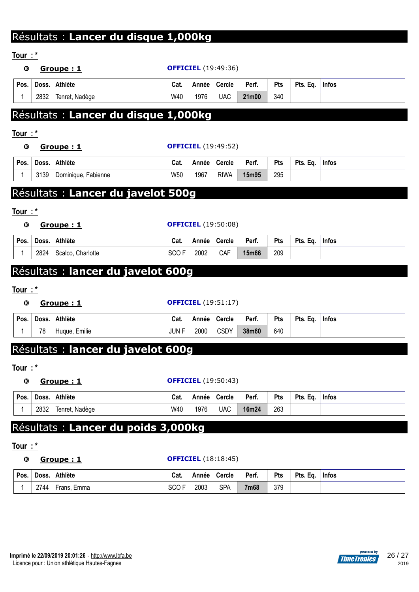# Résultats : **Lancer du disque 1,000kg**

| Tour:*       |      |                                      |                  |       |                            |       |     |          |              |
|--------------|------|--------------------------------------|------------------|-------|----------------------------|-------|-----|----------|--------------|
| ◍            |      | Groupe: 1                            |                  |       | <b>OFFICIEL</b> (19:49:36) |       |     |          |              |
| Pos.         |      | Doss. Athlète                        | Cat.             | Année | Cercle                     | Perf. | Pts | Pts. Eq. | <b>Infos</b> |
| 1            | 2832 | Tenret, Nadège                       | W40              | 1976  | <b>UAC</b>                 | 21m00 | 340 |          |              |
|              |      |                                      |                  |       |                            |       |     |          |              |
|              |      | Résultats : Lancer du disque 1,000kg |                  |       |                            |       |     |          |              |
| Tour:*       |      |                                      |                  |       |                            |       |     |          |              |
| ◍            |      | Groupe: 1                            |                  |       | <b>OFFICIEL</b> (19:49:52) |       |     |          |              |
| Pos.         |      | Doss. Athlète                        | Cat.             | Année | Cercle                     | Perf. | Pts | Pts. Eq. | <b>Infos</b> |
| 1            | 3139 | Dominique, Fabienne                  | W50              | 1967  | <b>RIWA</b>                | 15m95 | 295 |          |              |
|              |      | Résultats : Lancer du javelot 500g   |                  |       |                            |       |     |          |              |
|              |      |                                      |                  |       |                            |       |     |          |              |
| Tour:*       |      |                                      |                  |       |                            |       |     |          |              |
| ◍            |      | Groupe:1                             |                  |       | <b>OFFICIEL</b> (19:50:08) |       |     |          |              |
| Pos.         |      | Doss. Athlète                        | Cat.             | Année | Cercle                     | Perf. | Pts | Pts. Eq. | <b>Infos</b> |
| 1            | 2824 | Scalco, Charlotte                    | SCO <sub>F</sub> | 2002  | CAF                        | 15m66 | 209 |          |              |
|              |      | Résultats : lancer du javelot 600g   |                  |       |                            |       |     |          |              |
| Tour $:$ $*$ |      |                                      |                  |       |                            |       |     |          |              |
| ◍            |      | Groupe:1                             |                  |       | <b>OFFICIEL</b> (19:51:17) |       |     |          |              |
| Pos.         |      | Doss. Athlète                        | Cat.             |       | Année Cercle               | Perf. | Pts | Pts. Eq. | <b>Infos</b> |
| 1            | 78   | Huque, Emilie                        | <b>JUNF</b>      | 2000  | <b>CSDY</b>                | 38m60 | 640 |          |              |
|              |      |                                      |                  |       |                            |       |     |          |              |
|              |      | Résultats : lancer du javelot 600g   |                  |       |                            |       |     |          |              |
| Tour:*       |      |                                      |                  |       |                            |       |     |          |              |
| ◍            |      | Groupe: 1                            |                  |       | <b>OFFICIEL</b> (19:50:43) |       |     |          |              |
| Pos.         |      | Doss. Athlète                        | Cat.             |       | Année Cercle               | Perf. | Pts | Pts. Eq. | <b>Infos</b> |
| 1            | 2832 | Tenret, Nadège                       | W40              | 1976  | <b>UAC</b>                 | 16m24 | 263 |          |              |
|              |      | Résultats : Lancer du poids 3,000kg  |                  |       |                            |       |     |          |              |

## **Tour : \***

## **Groupe : 1 OFFICIEL** (18:18:45)

| Pos. | Doss. | Athlète     | Cat. | Année | Cercle     | Perf.       | <b>Pts</b> | Pts. Eq. | <b>Infos</b> |
|------|-------|-------------|------|-------|------------|-------------|------------|----------|--------------|
|      | ?744  | Frans, Emma |      | 2003  | <b>SPA</b> | <b>7m68</b> | 379        |          |              |